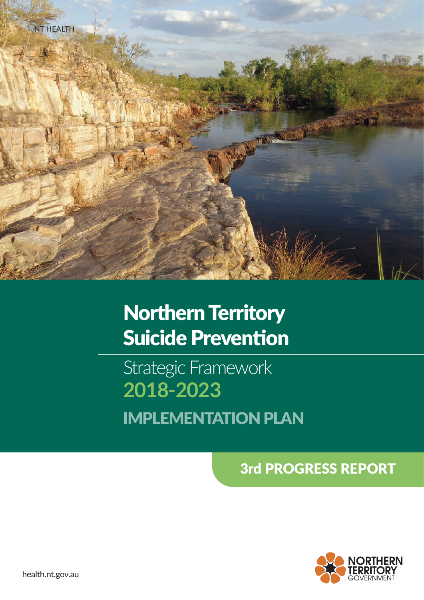

# Northern Territory Suicide Prevention

Strategic Framework **2018-2023** IMPLEMENTATION PLAN

3rd PROGRESS REPORT



health.nt.gov.au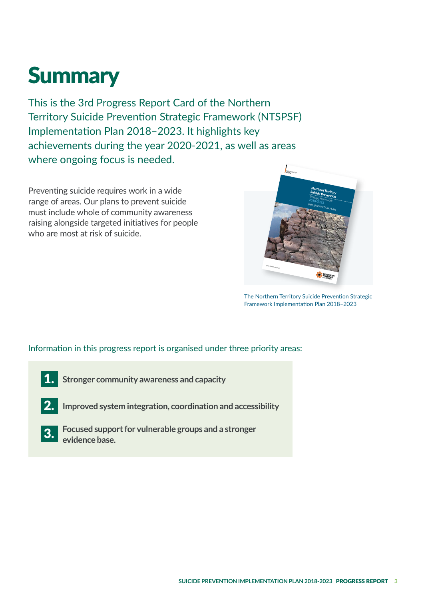# **Summary**

This is the 3rd Progress Report Card of the Northern Territory Suicide Prevention Strategic Framework (NTSPSF) Implementation Plan 2018–2023. It highlights key achievements during the year 2020-2021, as well as areas where ongoing focus is needed.

Preventing suicide requires work in a wide range of areas. Our plans to prevent suicide must include whole of community awareness raising alongside targeted initiatives for people who are most at risk of suicide.



The Northern Territory Suicide Prevention Strategic Framework Implementation Plan 2018–2023

Information in this progress report is organised under three priority areas:

- **Stronger community awareness and capacity**  1.
- **Improved system integration, coordination and accessibility**  2.
- **Focused support for vulnerable groups and a stronger evidence base.**  3.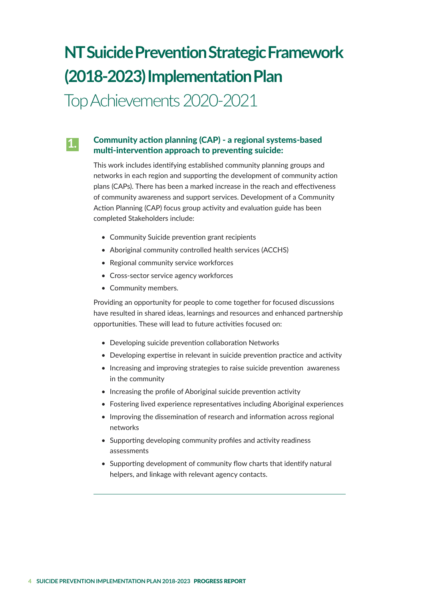## **NT Suicide Prevention Strategic Framework (2018-2023) Implementation Plan**

Top Achievements 2020-2021

#### Community action planning (CAP) - a regional systems-based multi-intervention approach to preventing suicide: **1.**

This work includes identifying established community planning groups and networks in each region and supporting the development of community action plans (CAPs). There has been a marked increase in the reach and effectiveness of community awareness and support services. Development of a Community Action Planning (CAP) focus group activity and evaluation guide has been completed Stakeholders include:

- Community Suicide prevention grant recipients
- Aboriginal community controlled health services (ACCHS)
- Regional community service workforces
- Cross-sector service agency workforces
- Community members.

Providing an opportunity for people to come together for focused discussions have resulted in shared ideas, learnings and resources and enhanced partnership opportunities. These will lead to future activities focused on:

- Developing suicide prevention collaboration Networks
- Developing expertise in relevant in suicide prevention practice and activity
- Increasing and improving strategies to raise suicide prevention awareness in the community
- Increasing the profile of Aboriginal suicide prevention activity
- Fostering lived experience representatives including Aboriginal experiences
- Improving the dissemination of research and information across regional networks
- Supporting developing community profiles and activity readiness assessments
- Supporting development of community flow charts that identify natural helpers, and linkage with relevant agency contacts.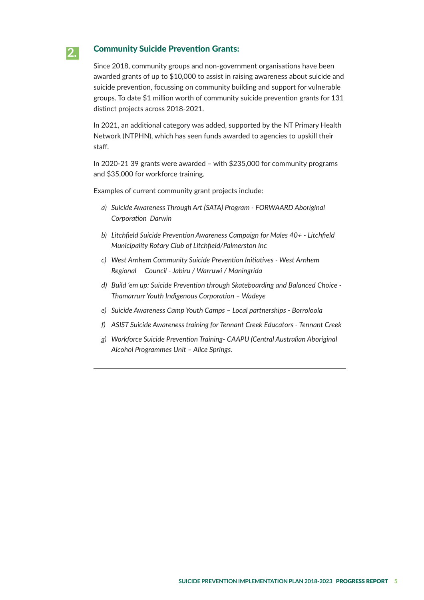#### Community Suicide Prevention Grants: **2.**

Since 2018, community groups and non-government organisations have been awarded grants of up to \$10,000 to assist in raising awareness about suicide and suicide prevention, focussing on community building and support for vulnerable groups. To date \$1 million worth of community suicide prevention grants for 131 distinct projects across 2018-2021.

In 2021, an additional category was added, supported by the NT Primary Health Network (NTPHN), which has seen funds awarded to agencies to upskill their staff.

In 2020-21 39 grants were awarded – with \$235,000 for community programs and \$35,000 for workforce training.

Examples of current community grant projects include:

- *a) Suicide Awareness Through Art (SATA) Program FORWAARD Aboriginal Corporation Darwin*
- *b) Litchfield Suicide Prevention Awareness Campaign for Males 40+ Litchfield Municipality Rotary Club of Litchfield/Palmerston Inc*
- *c) West Arnhem Community Suicide Prevention Initiatives West Arnhem Regional Council - Jabiru / Warruwi / Maningrida*
- *d) Build 'em up: Suicide Prevention through Skateboarding and Balanced Choice Thamarrurr Youth Indigenous Corporation – Wadeye*
- *e) Suicide Awareness Camp Youth Camps Local partnerships Borroloola*
- *f) ASIST Suicide Awareness training for Tennant Creek Educators Tennant Creek*
- *g) Workforce Suicide Prevention Training- CAAPU (Central Australian Aboriginal Alcohol Programmes Unit – Alice Springs.*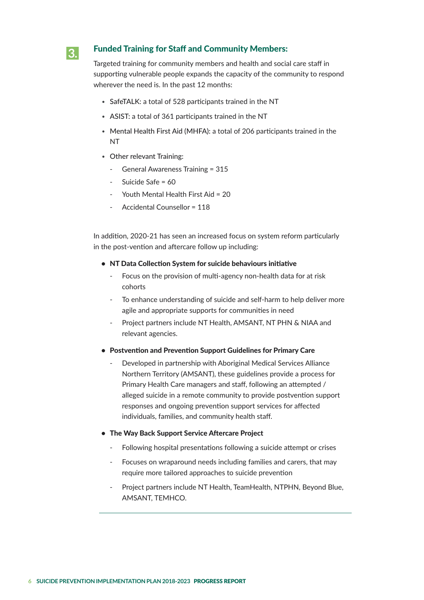## **3.**

### Funded Training for Staff and Community Members:

Targeted training for community members and health and social care staff in supporting vulnerable people expands the capacity of the community to respond wherever the need is. In the past 12 months:

- SafeTALK: a total of 528 participants trained in the NT
- ASIST: a total of 361 participants trained in the NT
- Mental Health First Aid (MHFA): a total of 206 participants trained in the NT
- Other relevant Training:
	- General Awareness Training = 315
	- Suicide Safe = 60
	- Youth Mental Health First Aid = 20
	- Accidental Counsellor = 118

In addition, 2020-21 has seen an increased focus on system reform particularly in the post-vention and aftercare follow up including:

- NT Data Collection System for suicide behaviours initiative
	- Focus on the provision of multi-agency non-health data for at risk cohorts
	- To enhance understanding of suicide and self-harm to help deliver more agile and appropriate supports for communities in need
	- Project partners include NT Health, AMSANT, NT PHN & NIAA and relevant agencies.
- Postvention and Prevention Support Guidelines for Primary Care
	- Developed in partnership with Aboriginal Medical Services Alliance Northern Territory (AMSANT), these guidelines provide a process for Primary Health Care managers and staff, following an attempted / alleged suicide in a remote community to provide postvention support responses and ongoing prevention support services for affected individuals, families, and community health staff.

#### • The Way Back Support Service Aftercare Project

- Following hospital presentations following a suicide attempt or crises
- Focuses on wraparound needs including families and carers, that may require more tailored approaches to suicide prevention
- Project partners include NT Health, TeamHealth, NTPHN, Beyond Blue, AMSANT, TEMHCO.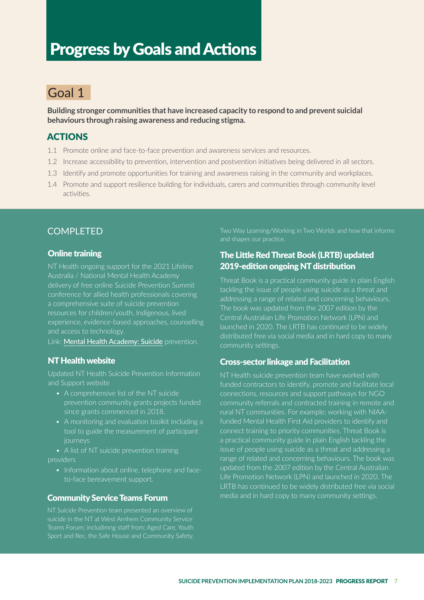## Progress by Goals and Actions

## Goal 1

**Building stronger communities that have increased capacity to respond to and prevent suicidal behaviours through raising awareness and reducing stigma.**

## ACTIONS

- 1.1 Promote online and face-to-face prevention and awareness services and resources.
- 1.2 Increase accessibility to prevention, intervention and postvention initiatives being delivered in all sectors.
- 1.3 Identify and promote opportunities for training and awareness raising in the community and workplaces.
- 1.4 Promote and support resilience building for individuals, carers and communities through community level activities.

## COMPI FTFD

#### Online training

NT Health ongoing support for the 2021 Lifeline delivery of free online Suicide Prevention Summit conference for allied health professionals covering a comprehensive suite of suicide prevention resources for children/youth, Indigenous, lived experience, evidence-based approaches, counselling and access to technology.

Link: Mental Health Academy: Suicide prevention.

### NT Health website

Updated NT Health Suicide Prevention Information and Support website

- A comprehensive list of the NT suicide prevention community grants projects funded since grants commenced in 2018.
- A monitoring and evaluation toolkit including a tool to guide the measurement of participant

• A list of NT suicide prevention training providers

• Information about online, telephone and faceto-face bereavement support.

#### Community Service Teams Forum

NT Suicide Prevention team presented an overview of suicide in the NT at West Arnhem Community Service Teams Forum; includimng staff from; Aged Care, Youth Two Way Learning/Working in Two Worlds and how that informs and shapes our practice.

### The Little Red Threat Book (LRTB) updated 2019-edition ongoing NT distribution

Threat Book is a practical community guide in plain English tackling the issue of people using suicide as a threat and addressing a range of related and concerning behaviours. The book was updated from the 2007 edition by the Central Australian Life Promotion Network (LPN) and launched in 2020. The LRTB has continued to be widely distributed free via social media and in hard copy to many community settings.

#### Cross-sector linkage and Facilitation

NT Health suicide prevention team have worked with funded contractors to identify, promote and facilitate local connections, resources and support pathways for NGO community referrals and contracted training in remote and rural NT communities. For example; working with NIAAfunded Mental Health First Aid providers to identify and connect training to priority communities. Threat Book is a practical community guide in plain English tackling the issue of people using suicide as a threat and addressing a range of related and concerning behaviours. The book was updated from the 2007 edition by the Central Australian Life Promotion Network (LPN) and launched in 2020. The LRTB has continued to be widely distributed free via social media and in hard copy to many community settings.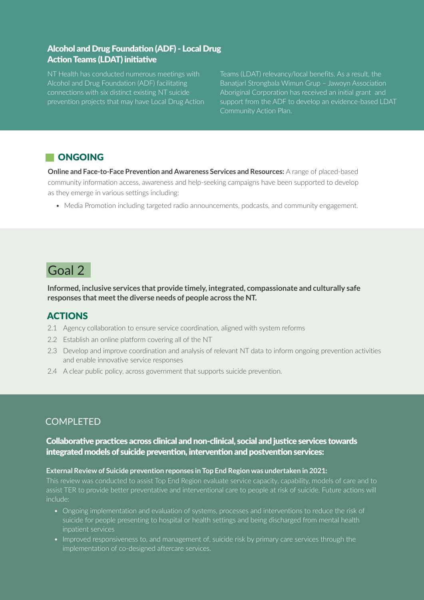## Alcohol and Drug Foundation (ADF) - Local Drug Action Teams (LDAT) initiative

NT Health has conducted numerous meetings with Alcohol and Drug Foundation (ADF) facilitating connections with six distinct existing NT suicide prevention projects that may have Local Drug Action Teams (LDAT) relevancy/local benefits. As a result, the Banatjarl Strongbala Wimun Grup – Jawoyn Association Aboriginal Corporation has received an initial grant and support from the ADF to develop an evidence-based LDAT Community Action Plan.

## **NONGOING**

**Online and Face-to-Face Prevention and Awareness Services and Resources:** A range of placed-based community information access, awareness and help-seeking campaigns have been supported to develop as they emerge in various settings including:

• Media Promotion including targeted radio announcements, podcasts, and community engagement.

## Goal 2

**Informed, inclusive services that provide timely, integrated, compassionate and culturally safe responses that meet the diverse needs of people across the NT.**

## ACTIONS

- 2.1 Agency collaboration to ensure service coordination, aligned with system reforms
- 2.2 Establish an online platform covering all of the NT
- 2.3 Develop and improve coordination and analysis of relevant NT data to inform ongoing prevention activities and enable innovative service responses
- 2.4 A clear public policy, across government that supports suicide prevention.

## COMPLETED

Collaborative practices across clinical and non-clinical, social and justice services towards integrated models of suicide prevention, intervention and postvention services:

#### **External Review of Suicide prevention reponses in Top End Region was undertaken in 2021:**

This review was conducted to assist Top End Region evaluate service capacity, capability, models of care and to assist TER to provide better preventative and interventional care to people at risk of suicide. Future actions will include:

- Ongoing implementation and evaluation of systems, processes and interventions to reduce the risk of suicide for people presenting to hospital or health settings and being discharged from mental health inpatient services
- Improved responsiveness to, and management of, suicide risk by primary care services through the implementation of co-designed aftercare services.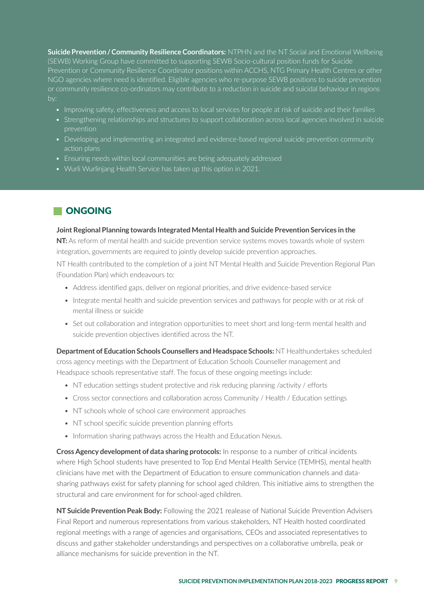**Suicide Prevention / Community Resilience Coordinators:** NTPHN and the NT Social and Emotional Wellbeing (SEWB) Working Group have committed to supporting SEWB Socio-cultural position funds for Suicide Prevention or Community Resilience Coordinator positions within ACCHS, NTG Primary Health Centres or other NGO agencies where need is identified. Eligible agencies who re-purpose SEWB positions to suicide prevention or community resilience co-ordinators may contribute to a reduction in suicide and suicidal behaviour in regions by:

- Improving safety, effectiveness and access to local services for people at risk of suicide and their families
- Strengthening relationships and structures to support collaboration across local agencies involved in suicide
- Developing and implementing an integrated and evidence-based regional suicide prevention community action plans
- Ensuring needs within local communities are being adequately addressed
- Wurli Wurlinjang Health Service has taken up this option in 2021.

## **NONGOING**

#### **Joint Regional Planning towards Integrated Mental Health and Suicide Prevention Services in the**

**NT:** As reform of mental health and suicide prevention service systems moves towards whole of system integration, governments are required to jointly develop suicide prevention approaches.

NT Health contributed to the completion of a joint NT Mental Health and Suicide Prevention Regional Plan (Foundation Plan) which endeavours to:

- Address identified gaps, deliver on regional priorities, and drive evidence-based service
- Integrate mental health and suicide prevention services and pathways for people with or at risk of mental illness or suicide
- Set out collaboration and integration opportunities to meet short and long-term mental health and suicide prevention objectives identified across the NT.

**Department of Education Schools Counsellers and Headspace Schools:** NT Healthundertakes scheduled cross agency meetings with the Department of Education Schools Counseller management and Headspace schools representative staff. The focus of these ongoing meetings include:

- NT education settings student protective and risk reducing planning /activity / efforts
- Cross sector connections and collaboration across Community / Health / Education settings
- NT schools whole of school care environment approaches
- NT school specific suicide prevention planning efforts
- Information sharing pathways across the Health and Education Nexus.

**Cross Agency development of data sharing protocols:** In response to a number of critical incidents where High School students have presented to Top End Mental Health Service (TEMHS), mental health clinicians have met with the Department of Education to ensure communication channels and datasharing pathways exist for safety planning for school aged children. This initiative aims to strengthen the structural and care environment for for school-aged children.

**NT Suicide Prevention Peak Body:** Following the 2021 realease of National Suicide Prevention Advisers Final Report and numerous representations from various stakeholders, NT Health hosted coordinated regional meetings with a range of agencies and organisations, CEOs and associated representatives to discuss and gather stakeholder understandings and perspectives on a collaborative umbrella, peak or alliance mechanisms for suicide prevention in the NT.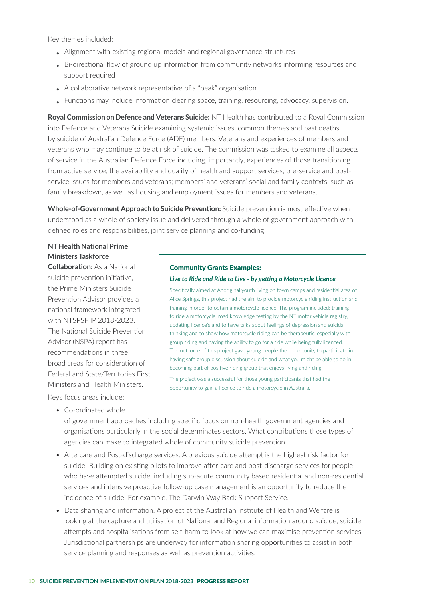Key themes included:

- Alignment with existing regional models and regional governance structures
- Bi-directional flow of ground up information from community networks informing resources and support required
- A collaborative network representative of a "peak" organisation
- Functions may include information clearing space, training, resourcing, advocacy, supervision.

**Royal Commission on Defence and Veterans Suicide:** NT Health has contributed to a Royal Commission into Defence and Veterans Suicide examining systemic issues, common themes and past deaths by suicide of Australian Defence Force (ADF) members, Veterans and experiences of members and veterans who may continue to be at risk of suicide. The commission was tasked to examine all aspects of service in the Australian Defence Force including, importantly, experiences of those transitioning from active service; the availability and quality of health and support services; pre-service and postservice issues for members and veterans; members' and veterans' social and family contexts, such as family breakdown, as well as housing and employment issues for members and veterans.

**Whole-of-Government Approach to Suicide Prevention:** Suicide prevention is most effective when understood as a whole of society issue and delivered through a whole of government approach with defined roles and responsibilities, joint service planning and co-funding.

#### **NT Health National Prime Ministers Taskforce**

**Collaboration:** As a National suicide prevention initiative, the Prime Ministers Suicide Prevention Advisor provides a national framework integrated with NTSPSF IP 2018-2023. The National Suicide Prevention Advisor (NSPA) report has recommendations in three broad areas for consideration of Federal and State/Territories First Ministers and Health Ministers. Keys focus areas include;

• Co-ordinated whole

#### Community Grants Examples:

#### *Live to Ride and Ride to Live - by getting a Motorcycle Licence*

Specifically aimed at Aboriginal youth living on town camps and residential area of Alice Springs, this project had the aim to provide motorcycle riding instruction and training in order to obtain a motorcycle licence. The program included; training to ride a motorcycle, road knowledge testing by the NT motor vehicle registry, updating licence's and to have talks about feelings of depression and suicidal thinking and to show how motorcycle riding can be therapeutic, especially with group riding and having the ability to go for a ride while being fully licenced. The outcome of this project gave young people the opportunity to participate in having safe group discussion about suicide and what you might be able to do in becoming part of positive riding group that enjoys living and riding.

The project was a successful for those young participants that had the opportunity to gain a licence to ride a motorcycle in Australia.

of government approaches including specific focus on non-health government agencies and organisations particularly in the social determinates sectors. What contributions those types of agencies can make to integrated whole of community suicide prevention.

- Aftercare and Post-discharge services. A previous suicide attempt is the highest risk factor for suicide. Building on existing pilots to improve after-care and post-discharge services for people who have attempted suicide, including sub-acute community based residential and non-residential services and intensive proactive follow-up case management is an opportunity to reduce the incidence of suicide. For example, The Darwin Way Back Support Service.
- Data sharing and information. A project at the Australian Institute of Health and Welfare is looking at the capture and utilisation of National and Regional information around suicide, suicide attempts and hospitalisations from self-harm to look at how we can maximise prevention services. Jurisdictional partnerships are underway for information sharing opportunities to assist in both service planning and responses as well as prevention activities.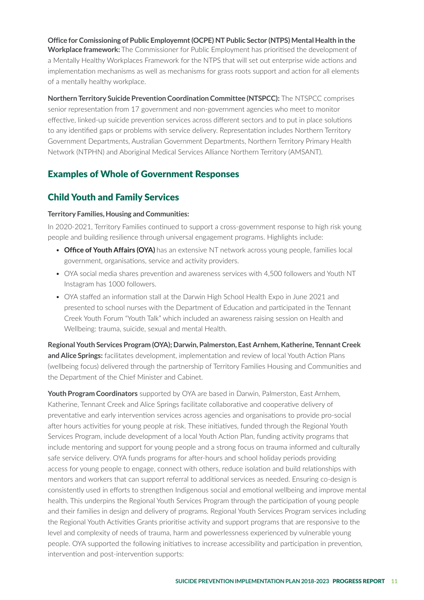**Office for Comissioning of Public Employemnt (OCPE) NT Public Sector (NTPS) Mental Health in the Workplace framework:** The Commissioner for Public Employment has prioritised the development of a Mentally Healthy Workplaces Framework for the NTPS that will set out enterprise wide actions and implementation mechanisms as well as mechanisms for grass roots support and action for all elements of a mentally healthy workplace.

**Northern Territory Suicide Prevention Coordination Committee (NTSPCC):** The NTSPCC comprises senior representation from 17 government and non-government agencies who meet to monitor effective, linked-up suicide prevention services across different sectors and to put in place solutions to any identified gaps or problems with service delivery. Representation includes Northern Territory Government Departments, Australian Government Departments, Northern Territory Primary Health Network (NTPHN) and Aboriginal Medical Services Alliance Northern Territory (AMSANT).

## Examples of Whole of Government Responses

## Child Youth and Family Services

#### **Territory Families, Housing and Communities:**

In 2020-2021, Territory Families continued to support a cross-government response to high risk young people and building resilience through universal engagement programs. Highlights include:

- **Office of Youth Affairs (OYA)** has an extensive NT network across young people, families local government, organisations, service and activity providers.
- OYA social media shares prevention and awareness services with 4,500 followers and Youth NT Instagram has 1000 followers.
- OYA staffed an information stall at the Darwin High School Health Expo in June 2021 and presented to school nurses with the Department of Education and participated in the Tennant Creek Youth Forum "Youth Talk" which included an awareness raising session on Health and Wellbeing: trauma, suicide, sexual and mental Health.

**Regional Youth Services Program (OYA); Darwin, Palmerston, East Arnhem, Katherine, Tennant Creek and Alice Springs:** facilitates development, implementation and review of local Youth Action Plans (wellbeing focus) delivered through the partnership of Territory Families Housing and Communities and the Department of the Chief Minister and Cabinet.

**Youth Program Coordinators** supported by OYA are based in Darwin, Palmerston, East Arnhem, Katherine, Tennant Creek and Alice Springs facilitate collaborative and cooperative delivery of preventative and early intervention services across agencies and organisations to provide pro-social after hours activities for young people at risk. These initiatives, funded through the Regional Youth Services Program, include development of a local Youth Action Plan, funding activity programs that include mentoring and support for young people and a strong focus on trauma informed and culturally safe service delivery. OYA funds programs for after-hours and school holiday periods providing access for young people to engage, connect with others, reduce isolation and build relationships with mentors and workers that can support referral to additional services as needed. Ensuring co-design is consistently used in efforts to strengthen Indigenous social and emotional wellbeing and improve mental health. This underpins the Regional Youth Services Program through the participation of young people and their families in design and delivery of programs. Regional Youth Services Program services including the Regional Youth Activities Grants prioritise activity and support programs that are responsive to the level and complexity of needs of trauma, harm and powerlessness experienced by vulnerable young people. OYA supported the following initiatives to increase accessibility and participation in prevention, intervention and post-intervention supports: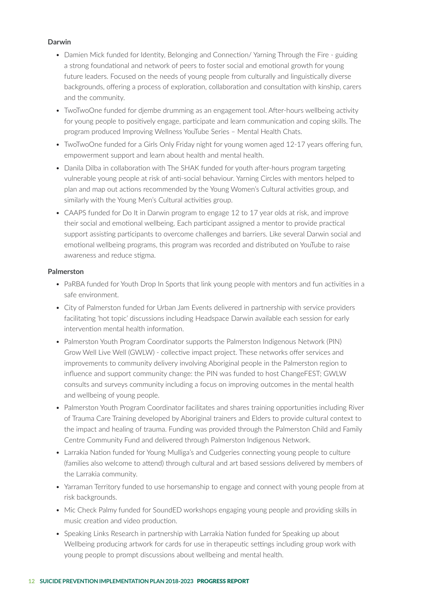#### **Darwin**

- Damien Mick funded for Identity, Belonging and Connection/Yarning Through the Fire guiding a strong foundational and network of peers to foster social and emotional growth for young future leaders. Focused on the needs of young people from culturally and linguistically diverse backgrounds, offering a process of exploration, collaboration and consultation with kinship, carers and the community.
- TwoTwoOne funded for djembe drumming as an engagement tool. After-hours wellbeing activity for young people to positively engage, participate and learn communication and coping skills. The program produced Improving Wellness YouTube Series – Mental Health Chats.
- TwoTwoOne funded for a Girls Only Friday night for young women aged 12-17 years offering fun, empowerment support and learn about health and mental health.
- Danila Dilba in collaboration with The SHAK funded for youth after-hours program targeting vulnerable young people at risk of anti-social behaviour. Yarning Circles with mentors helped to plan and map out actions recommended by the Young Women's Cultural activities group, and similarly with the Young Men's Cultural activities group.
- CAAPS funded for Do It in Darwin program to engage 12 to 17 year olds at risk, and improve their social and emotional wellbeing. Each participant assigned a mentor to provide practical support assisting participants to overcome challenges and barriers. Like several Darwin social and emotional wellbeing programs, this program was recorded and distributed on YouTube to raise awareness and reduce stigma.

#### **Palmerston**

- PaRBA funded for Youth Drop In Sports that link young people with mentors and fun activities in a safe environment.
- City of Palmerston funded for Urban Jam Events delivered in partnership with service providers facilitating 'hot topic' discussions including Headspace Darwin available each session for early intervention mental health information.
- Palmerston Youth Program Coordinator supports the Palmerston Indigenous Network (PIN) Grow Well Live Well (GWLW) - collective impact project. These networks offer services and improvements to community delivery involving Aboriginal people in the Palmerston region to influence and support community change: the PIN was funded to host ChangeFEST; GWLW consults and surveys community including a focus on improving outcomes in the mental health and wellbeing of young people.
- Palmerston Youth Program Coordinator facilitates and shares training opportunities including River of Trauma Care Training developed by Aboriginal trainers and Elders to provide cultural context to the impact and healing of trauma. Funding was provided through the Palmerston Child and Family Centre Community Fund and delivered through Palmerston Indigenous Network.
- Larrakia Nation funded for Young Mulliga's and Cudgeries connecting young people to culture (families also welcome to attend) through cultural and art based sessions delivered by members of the Larrakia community.
- Yarraman Territory funded to use horsemanship to engage and connect with young people from at risk backgrounds.
- Mic Check Palmy funded for SoundED workshops engaging young people and providing skills in music creation and video production.
- Speaking Links Research in partnership with Larrakia Nation funded for Speaking up about Wellbeing producing artwork for cards for use in therapeutic settings including group work with young people to prompt discussions about wellbeing and mental health.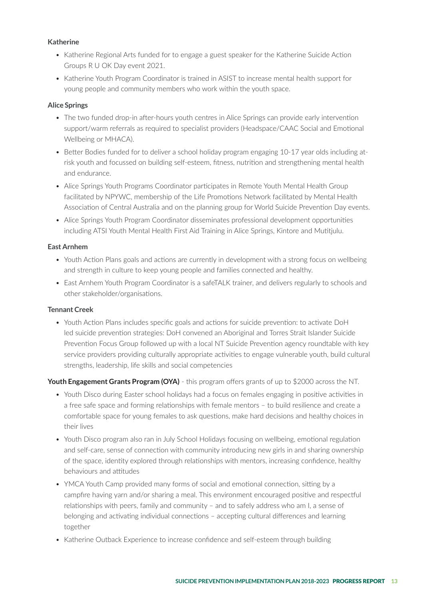#### **Katherine**

- Katherine Regional Arts funded for to engage a guest speaker for the Katherine Suicide Action Groups R U OK Day event 2021.
- Katherine Youth Program Coordinator is trained in ASIST to increase mental health support for young people and community members who work within the youth space.

#### **Alice Springs**

- The two funded drop-in after-hours youth centres in Alice Springs can provide early intervention support/warm referrals as required to specialist providers (Headspace/CAAC Social and Emotional Wellbeing or MHACA).
- Better Bodies funded for to deliver a school holiday program engaging 10-17 year olds including atrisk youth and focussed on building self-esteem, fitness, nutrition and strengthening mental health and endurance.
- Alice Springs Youth Programs Coordinator participates in Remote Youth Mental Health Group facilitated by NPYWC, membership of the Life Promotions Network facilitated by Mental Health Association of Central Australia and on the planning group for World Suicide Prevention Day events.
- Alice Springs Youth Program Coordinator disseminates professional development opportunities including ATSI Youth Mental Health First Aid Training in Alice Springs, Kintore and Mutitjulu.

#### **East Arnhem**

- Youth Action Plans goals and actions are currently in development with a strong focus on wellbeing and strength in culture to keep young people and families connected and healthy.
- East Arnhem Youth Program Coordinator is a safeTALK trainer, and delivers regularly to schools and other stakeholder/organisations.

#### **Tennant Creek**

• Youth Action Plans includes specific goals and actions for suicide prevention: to activate DoH led suicide prevention strategies: DoH convened an Aboriginal and Torres Strait Islander Suicide Prevention Focus Group followed up with a local NT Suicide Prevention agency roundtable with key service providers providing culturally appropriate activities to engage vulnerable youth, build cultural strengths, leadership, life skills and social competencies

**Youth Engagement Grants Program (OYA)** - this program offers grants of up to \$2000 across the NT.

- Youth Disco during Easter school holidays had a focus on females engaging in positive activities in a free safe space and forming relationships with female mentors – to build resilience and create a comfortable space for young females to ask questions, make hard decisions and healthy choices in their lives
- Youth Disco program also ran in July School Holidays focusing on wellbeing, emotional regulation and self-care, sense of connection with community introducing new girls in and sharing ownership of the space, identity explored through relationships with mentors, increasing confidence, healthy behaviours and attitudes
- YMCA Youth Camp provided many forms of social and emotional connection, sitting by a campfire having yarn and/or sharing a meal. This environment encouraged positive and respectful relationships with peers, family and community – and to safely address who am I, a sense of belonging and activating individual connections – accepting cultural differences and learning together
- Katherine Outback Experience to increase confidence and self-esteem through building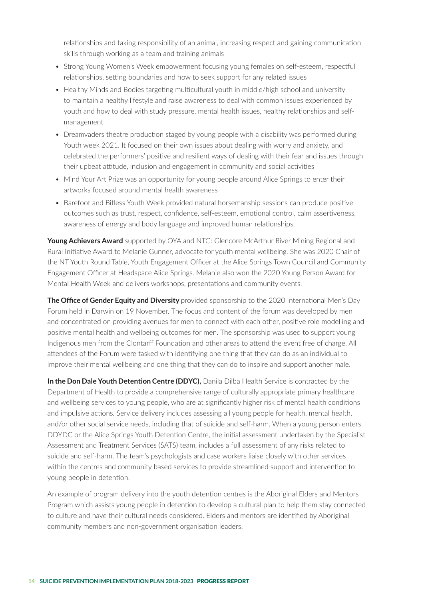relationships and taking responsibility of an animal, increasing respect and gaining communication skills through working as a team and training animals

- Strong Young Women's Week empowerment focusing young females on self-esteem, respectful relationships, setting boundaries and how to seek support for any related issues
- Healthy Minds and Bodies targeting multicultural youth in middle/high school and university to maintain a healthy lifestyle and raise awareness to deal with common issues experienced by youth and how to deal with study pressure, mental health issues, healthy relationships and selfmanagement
- Dreamvaders theatre production staged by young people with a disability was performed during Youth week 2021. It focused on their own issues about dealing with worry and anxiety, and celebrated the performers' positive and resilient ways of dealing with their fear and issues through their upbeat attitude, inclusion and engagement in community and social activities
- Mind Your Art Prize was an opportunity for young people around Alice Springs to enter their artworks focused around mental health awareness
- Barefoot and Bitless Youth Week provided natural horsemanship sessions can produce positive outcomes such as trust, respect, confidence, self-esteem, emotional control, calm assertiveness, awareness of energy and body language and improved human relationships.

**Young Achievers Award** supported by OYA and NTG: Glencore McArthur River Mining Regional and Rural Initiative Award to Melanie Gunner, advocate for youth mental wellbeing. She was 2020 Chair of the NT Youth Round Table, Youth Engagement Officer at the Alice Springs Town Council and Community Engagement Officer at Headspace Alice Springs. Melanie also won the 2020 Young Person Award for Mental Health Week and delivers workshops, presentations and community events.

**The Office of Gender Equity and Diversity** provided sponsorship to the 2020 International Men's Day Forum held in Darwin on 19 November. The focus and content of the forum was developed by men and concentrated on providing avenues for men to connect with each other, positive role modelling and positive mental health and wellbeing outcomes for men. The sponsorship was used to support young Indigenous men from the Clontarff Foundation and other areas to attend the event free of charge. All attendees of the Forum were tasked with identifying one thing that they can do as an individual to improve their mental wellbeing and one thing that they can do to inspire and support another male.

**In the Don Dale Youth Detention Centre (DDYC).** Danila Dilba Health Service is contracted by the Department of Health to provide a comprehensive range of culturally appropriate primary healthcare and wellbeing services to young people, who are at significantly higher risk of mental health conditions and impulsive actions. Service delivery includes assessing all young people for health, mental health, and/or other social service needs, including that of suicide and self-harm. When a young person enters DDYDC or the Alice Springs Youth Detention Centre, the initial assessment undertaken by the Specialist Assessment and Treatment Services (SATS) team, includes a full assessment of any risks related to suicide and self-harm. The team's psychologists and case workers liaise closely with other services within the centres and community based services to provide streamlined support and intervention to young people in detention.

An example of program delivery into the youth detention centres is the Aboriginal Elders and Mentors Program which assists young people in detention to develop a cultural plan to help them stay connected to culture and have their cultural needs considered. Elders and mentors are identified by Aboriginal community members and non-government organisation leaders.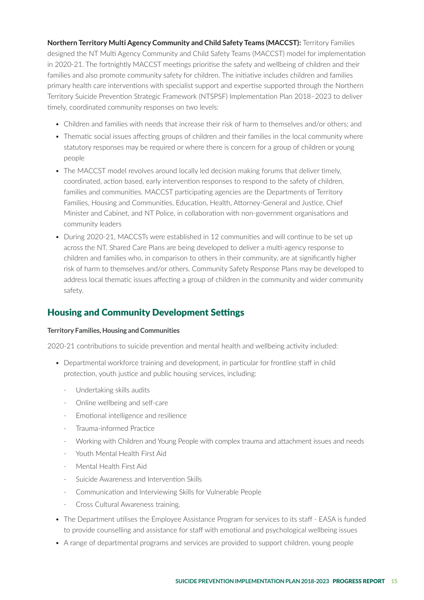**Northern Territory Multi Agency Community and Child Safety Teams (MACCST):** Territory Families designed the NT Multi Agency Community and Child Safety Teams (MACCST) model for implementation in 2020-21. The fortnightly MACCST meetings prioritise the safety and wellbeing of children and their families and also promote community safety for children. The initiative includes children and families primary health care interventions with specialist support and expertise supported through the Northern Territory Suicide Prevention Strategic Framework (NTSPSF) Implementation Plan 2018–2023 to deliver timely, coordinated community responses on two levels:

- Children and families with needs that increase their risk of harm to themselves and/or others; and
- Thematic social issues affecting groups of children and their families in the local community where statutory responses may be required or where there is concern for a group of children or young people
- The MACCST model revolves around locally led decision making forums that deliver timely, coordinated, action based, early intervention responses to respond to the safety of children, families and communities. MACCST participating agencies are the Departments of Territory Families, Housing and Communities, Education, Health, Attorney-General and Justice, Chief Minister and Cabinet, and NT Police, in collaboration with non-government organisations and community leaders
- During 2020-21, MACCSTs were established in 12 communities and will continue to be set up across the NT. Shared Care Plans are being developed to deliver a multi-agency response to children and families who, in comparison to others in their community, are at significantly higher risk of harm to themselves and/or others. Community Safety Response Plans may be developed to address local thematic issues affecting a group of children in the community and wider community safety.

## Housing and Community Development Settings

#### **Territory Families, Housing and Communities**

2020-21 contributions to suicide prevention and mental health and wellbeing activity included:

- Departmental workforce training and development, in particular for frontline staff in child protection, youth justice and public housing services, including:
	- Undertaking skills audits
	- Online wellbeing and self-care
	- Emotional intelligence and resilience
	- Trauma-informed Practice
	- Working with Children and Young People with complex trauma and attachment issues and needs
	- Youth Mental Health First Aid
	- Mental Health First Aid
	- Suicide Awareness and Intervention Skills
	- Communication and Interviewing Skills for Vulnerable People
	- Cross Cultural Awareness training.
- The Department utilises the Employee Assistance Program for services to its staff EASA is funded to provide counselling and assistance for staff with emotional and psychological wellbeing issues
- A range of departmental programs and services are provided to support children, young people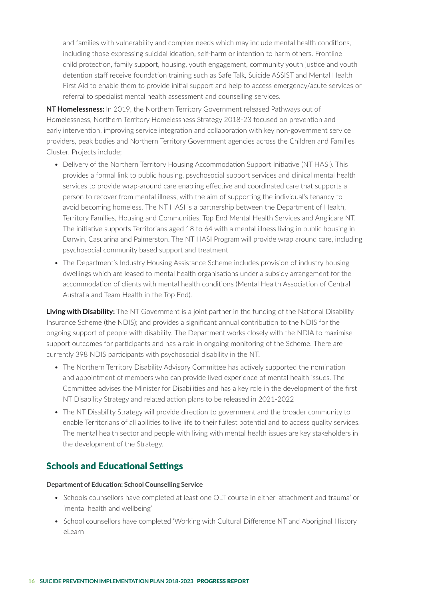and families with vulnerability and complex needs which may include mental health conditions, including those expressing suicidal ideation, self-harm or intention to harm others. Frontline child protection, family support, housing, youth engagement, community youth justice and youth detention staff receive foundation training such as Safe Talk, Suicide ASSIST and Mental Health First Aid to enable them to provide initial support and help to access emergency/acute services or referral to specialist mental health assessment and counselling services.

**NT Homelessness:** In 2019, the Northern Territory Government released Pathways out of Homelessness, Northern Territory Homelessness Strategy 2018-23 focused on prevention and early intervention, improving service integration and collaboration with key non-government service providers, peak bodies and Northern Territory Government agencies across the Children and Families Cluster. Projects include;

- Delivery of the Northern Territory Housing Accommodation Support Initiative (NT HASI). This provides a formal link to public housing, psychosocial support services and clinical mental health services to provide wrap-around care enabling effective and coordinated care that supports a person to recover from mental illness, with the aim of supporting the individual's tenancy to avoid becoming homeless. The NT HASI is a partnership between the Department of Health, Territory Families, Housing and Communities, Top End Mental Health Services and Anglicare NT. The initiative supports Territorians aged 18 to 64 with a mental illness living in public housing in Darwin, Casuarina and Palmerston. The NT HASI Program will provide wrap around care, including psychosocial community based support and treatment
- The Department's Industry Housing Assistance Scheme includes provision of industry housing dwellings which are leased to mental health organisations under a subsidy arrangement for the accommodation of clients with mental health conditions (Mental Health Association of Central Australia and Team Health in the Top End).

**Living with Disability:** The NT Government is a joint partner in the funding of the National Disability Insurance Scheme (the NDIS); and provides a significant annual contribution to the NDIS for the ongoing support of people with disability. The Department works closely with the NDIA to maximise support outcomes for participants and has a role in ongoing monitoring of the Scheme. There are currently 398 NDIS participants with psychosocial disability in the NT.

- The Northern Territory Disability Advisory Committee has actively supported the nomination and appointment of members who can provide lived experience of mental health issues. The Committee advises the Minister for Disabilities and has a key role in the development of the first NT Disability Strategy and related action plans to be released in 2021-2022
- The NT Disability Strategy will provide direction to government and the broader community to enable Territorians of all abilities to live life to their fullest potential and to access quality services. The mental health sector and people with living with mental health issues are key stakeholders in the development of the Strategy.

## Schools and Educational Settings

#### **Department of Education: School Counselling Service**

- Schools counsellors have completed at least one OLT course in either 'attachment and trauma' or 'mental health and wellbeing'
- School counsellors have completed 'Working with Cultural Difference NT and Aboriginal History eLearn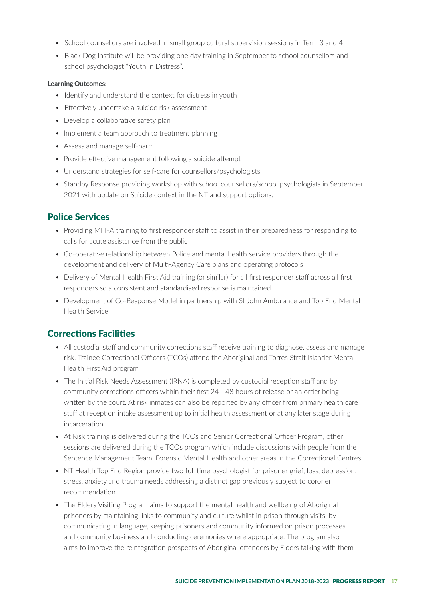- School counsellors are involved in small group cultural supervision sessions in Term 3 and 4
- Black Dog Institute will be providing one day training in September to school counsellors and school psychologist "Youth in Distress".

#### **Learning Outcomes:**

- Identify and understand the context for distress in youth
- Effectively undertake a suicide risk assessment
- Develop a collaborative safety plan
- Implement a team approach to treatment planning
- Assess and manage self-harm
- Provide effective management following a suicide attempt
- Understand strategies for self-care for counsellors/psychologists
- Standby Response providing workshop with school counsellors/school psychologists in September 2021 with update on Suicide context in the NT and support options.

## Police Services

- Providing MHFA training to first responder staff to assist in their preparedness for responding to calls for acute assistance from the public
- Co-operative relationship between Police and mental health service providers through the development and delivery of Multi-Agency Care plans and operating protocols
- Delivery of Mental Health First Aid training (or similar) for all first responder staff across all first responders so a consistent and standardised response is maintained
- Development of Co-Response Model in partnership with St John Ambulance and Top End Mental Health Service.

## Corrections Facilities

- All custodial staff and community corrections staff receive training to diagnose, assess and manage risk. Trainee Correctional Officers (TCOs) attend the Aboriginal and Torres Strait Islander Mental Health First Aid program
- The Initial Risk Needs Assessment (IRNA) is completed by custodial reception staff and by community corrections officers within their first 24 - 48 hours of release or an order being written by the court. At risk inmates can also be reported by any officer from primary health care staff at reception intake assessment up to initial health assessment or at any later stage during incarceration
- At Risk training is delivered during the TCOs and Senior Correctional Officer Program, other sessions are delivered during the TCOs program which include discussions with people from the Sentence Management Team, Forensic Mental Health and other areas in the Correctional Centres
- NT Health Top End Region provide two full time psychologist for prisoner grief, loss, depression, stress, anxiety and trauma needs addressing a distinct gap previously subject to coroner recommendation
- The Elders Visiting Program aims to support the mental health and wellbeing of Aboriginal prisoners by maintaining links to community and culture whilst in prison through visits, by communicating in language, keeping prisoners and community informed on prison processes and community business and conducting ceremonies where appropriate. The program also aims to improve the reintegration prospects of Aboriginal offenders by Elders talking with them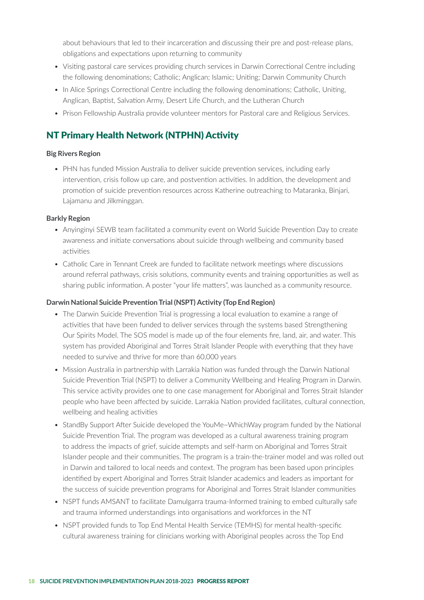about behaviours that led to their incarceration and discussing their pre and post-release plans, obligations and expectations upon returning to community

- Visiting pastoral care services providing church services in Darwin Correctional Centre including the following denominations; Catholic; Anglican; Islamic; Uniting; Darwin Community Church
- In Alice Springs Correctional Centre including the following denominations; Catholic, Uniting, Anglican, Baptist, Salvation Army, Desert Life Church, and the Lutheran Church
- Prison Fellowship Australia provide volunteer mentors for Pastoral care and Religious Services.

## NT Primary Health Network (NTPHN) Activity

#### **Big Rivers Region**

• PHN has funded Mission Australia to deliver suicide prevention services, including early intervention, crisis follow up care, and postvention activities. In addition, the development and promotion of suicide prevention resources across Katherine outreaching to Mataranka, Binjari, Lajamanu and Jilkminggan.

#### **Barkly Region**

- Anyinginyi SEWB team facilitated a community event on World Suicide Prevention Day to create awareness and initiate conversations about suicide through wellbeing and community based activities
- Catholic Care in Tennant Creek are funded to facilitate network meetings where discussions around referral pathways, crisis solutions, community events and training opportunities as well as sharing public information. A poster "your life matters", was launched as a community resource.

#### **Darwin National Suicide Prevention Trial (NSPT) Activity (Top End Region)**

- The Darwin Suicide Prevention Trial is progressing a local evaluation to examine a range of activities that have been funded to deliver services through the systems based Strengthening Our Spirits Model. The SOS model is made up of the four elements fire, land, air, and water. This system has provided Aboriginal and Torres Strait Islander People with everything that they have needed to survive and thrive for more than 60,000 years
- Mission Australia in partnership with Larrakia Nation was funded through the Darwin National Suicide Prevention Trial (NSPT) to deliver a Community Wellbeing and Healing Program in Darwin. This service activity provides one to one case management for Aboriginal and Torres Strait Islander people who have been affected by suicide. Larrakia Nation provided facilitates, cultural connection, wellbeing and healing activities
- StandBy Support After Suicide developed the YouMe~WhichWay program funded by the National Suicide Prevention Trial. The program was developed as a cultural awareness training program to address the impacts of grief, suicide attempts and self-harm on Aboriginal and Torres Strait Islander people and their communities. The program is a train-the-trainer model and was rolled out in Darwin and tailored to local needs and context. The program has been based upon principles identified by expert Aboriginal and Torres Strait Islander academics and leaders as important for the success of suicide prevention programs for Aboriginal and Torres Strait Islander communities
- NSPT funds AMSANT to facilitate Damulgarra trauma-Informed training to embed culturally safe and trauma informed understandings into organisations and workforces in the NT
- NSPT provided funds to Top End Mental Health Service (TEMHS) for mental health-specific cultural awareness training for clinicians working with Aboriginal peoples across the Top End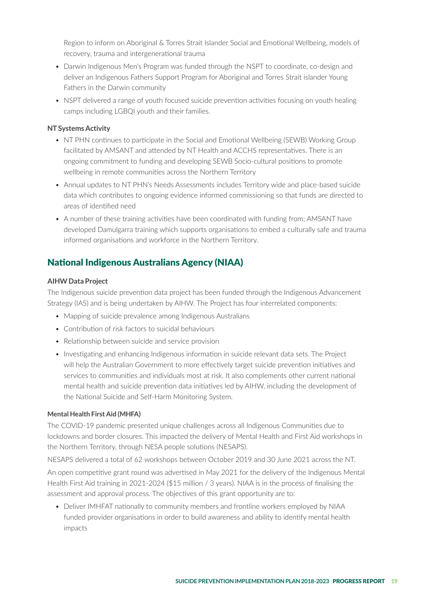Region to inform on Aboriginal & Torres Strait Islander Social and Emotional Wellbeing, models of recovery, trauma and intergenerational trauma

- Darwin Indigenous Men's Program was funded through the NSPT to coordinate, co-design and deliver an Indigenous Fathers Support Program for Aboriginal and Torres Strait islander Young Fathers in the Darwin community
- NSPT delivered a range of youth focused suicide prevention activities focusing on youth healing camps including LGBQI youth and their families.

#### **NT Systems Activity**

- NT PHN continues to participate in the Social and Emotional Wellbeing (SEWB) Working Group facilitated by AMSANT and attended by NT Health and ACCHS representatives. There is an ongoing commitment to funding and developing SEWB Socio-cultural positions to promote wellbeing in remote communities across the Northern Territory
- Annual updates to NT PHN's Needs Assessments includes Territory wide and place-based suicide data which contributes to ongoing evidence informed commissioning so that funds are directed to areas of identified need
- A number of these training activities have been coordinated with funding from; AMSANT have developed Damulgarra training which supports organisations to embed a culturally safe and trauma informed organisations and workforce in the Northern Territory.

## National Indigenous Australians Agency (NIAA)

#### **AIHW Data Project**

The Indigenous suicide prevention data project has been funded through the Indigenous Advancement Strategy (IAS) and is being undertaken by AIHW. The Project has four interrelated components:

- Mapping of suicide prevalence among Indigenous Australians
- Contribution of risk factors to suicidal behaviours
- Relationship between suicide and service provision
- Investigating and enhancing Indigenous information in suicide relevant data sets. The Project will help the Australian Government to more effectively target suicide prevention initiatives and services to communities and individuals most at risk. It also complements other current national mental health and suicide prevention data initiatives led by AIHW, including the development of the National Suicide and Self-Harm Monitoring System.

#### **Mental Health First Aid (MHFA)**

The COVID-19 pandemic presented unique challenges across all Indigenous Communities due to lockdowns and border closures. This impacted the delivery of Mental Health and First Aid workshops in the Northern Territory, through NESA people solutions (NESAPS).

NESAPS delivered a total of 62 workshops between October 2019 and 30 June 2021 across the NT.

An open competitive grant round was advertised in May 2021 for the delivery of the Indigenous Mental Health First Aid training in 2021-2024 (\$15 million / 3 years). NIAA is in the process of finalising the assessment and approval process. The objectives of this grant opportunity are to:

• Deliver IMHFAT nationally to community members and frontline workers employed by NIAA funded provider organisations in order to build awareness and ability to identify mental health impacts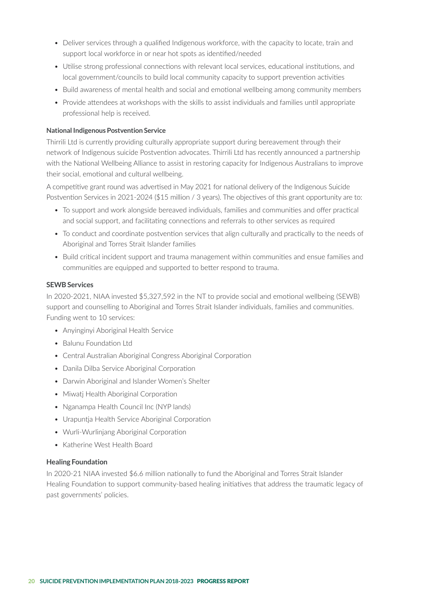- Deliver services through a qualified Indigenous workforce, with the capacity to locate, train and support local workforce in or near hot spots as identified/needed
- Utilise strong professional connections with relevant local services, educational institutions, and local government/councils to build local community capacity to support prevention activities
- Build awareness of mental health and social and emotional wellbeing among community members
- Provide attendees at workshops with the skills to assist individuals and families until appropriate professional help is received.

#### **National Indigenous Postvention Service**

Thirrili Ltd is currently providing culturally appropriate support during bereavement through their network of Indigenous suicide Postvention advocates. Thirrili Ltd has recently announced a partnership with the National Wellbeing Alliance to assist in restoring capacity for Indigenous Australians to improve their social, emotional and cultural wellbeing.

A competitive grant round was advertised in May 2021 for national delivery of the Indigenous Suicide Postvention Services in 2021-2024 (\$15 million / 3 years). The objectives of this grant opportunity are to:

- To support and work alongside bereaved individuals, families and communities and offer practical and social support, and facilitating connections and referrals to other services as required
- To conduct and coordinate postvention services that align culturally and practically to the needs of Aboriginal and Torres Strait Islander families
- Build critical incident support and trauma management within communities and ensue families and communities are equipped and supported to better respond to trauma.

#### **SEWB Services**

In 2020-2021, NIAA invested \$5,327,592 in the NT to provide social and emotional wellbeing (SEWB) support and counselling to Aboriginal and Torres Strait Islander individuals, families and communities. Funding went to 10 services:

- Anyinginyi Aboriginal Health Service
- Balunu Foundation Ltd
- Central Australian Aboriginal Congress Aboriginal Corporation
- Danila Dilba Service Aboriginal Corporation
- Darwin Aboriginal and Islander Women's Shelter
- Miwatj Health Aboriginal Corporation
- Nganampa Health Council Inc (NYP lands)
- Urapuntja Health Service Aboriginal Corporation
- Wurli-Wurlinjang Aboriginal Corporation
- Katherine West Health Board

#### **Healing Foundation**

In 2020-21 NIAA invested \$6.6 million nationally to fund the Aboriginal and Torres Strait Islander Healing Foundation to support community-based healing initiatives that address the traumatic legacy of past governments' policies.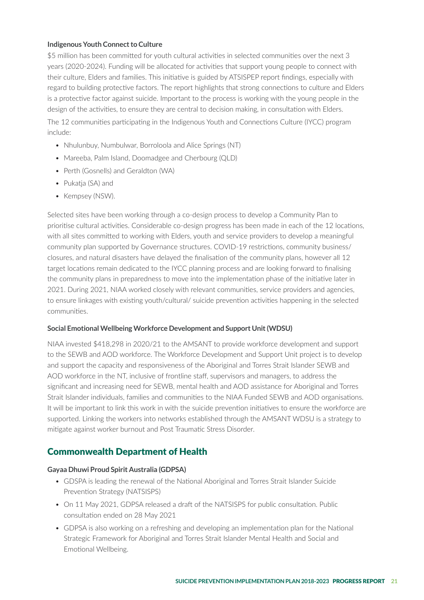#### **Indigenous Youth Connect to Culture**

\$5 million has been committed for youth cultural activities in selected communities over the next 3 years (2020-2024). Funding will be allocated for activities that support young people to connect with their culture, Elders and families. This initiative is guided by ATSISPEP report findings, especially with regard to building protective factors. The report highlights that strong connections to culture and Elders is a protective factor against suicide. Important to the process is working with the young people in the design of the activities, to ensure they are central to decision making, in consultation with Elders.

The 12 communities participating in the Indigenous Youth and Connections Culture (IYCC) program include:

- Nhulunbuy, Numbulwar, Borroloola and Alice Springs (NT)
- Mareeba, Palm Island, Doomadgee and Cherbourg (OLD)
- Perth (Gosnells) and Geraldton (WA)
- Pukatja (SA) and
- Kempsey (NSW).

Selected sites have been working through a co-design process to develop a Community Plan to prioritise cultural activities. Considerable co-design progress has been made in each of the 12 locations, with all sites committed to working with Elders, youth and service providers to develop a meaningful community plan supported by Governance structures. COVID-19 restrictions, community business/ closures, and natural disasters have delayed the finalisation of the community plans, however all 12 target locations remain dedicated to the IYCC planning process and are looking forward to finalising the community plans in preparedness to move into the implementation phase of the initiative later in 2021. During 2021, NIAA worked closely with relevant communities, service providers and agencies, to ensure linkages with existing youth/cultural/ suicide prevention activities happening in the selected communities.

#### **Social Emotional Wellbeing Workforce Development and Support Unit (WDSU)**

NIAA invested \$418,298 in 2020/21 to the AMSANT to provide workforce development and support to the SEWB and AOD workforce. The Workforce Development and Support Unit project is to develop and support the capacity and responsiveness of the Aboriginal and Torres Strait Islander SEWB and AOD workforce in the NT, inclusive of frontline staff, supervisors and managers, to address the significant and increasing need for SEWB, mental health and AOD assistance for Aboriginal and Torres Strait Islander individuals, families and communities to the NIAA Funded SEWB and AOD organisations. It will be important to link this work in with the suicide prevention initiatives to ensure the workforce are supported. Linking the workers into networks established through the AMSANT WDSU is a strategy to mitigate against worker burnout and Post Traumatic Stress Disorder.

## Commonwealth Department of Health

#### **Gayaa Dhuwi Proud Spirit Australia (GDPSA)**

- GDSPA is leading the renewal of the National Aboriginal and Torres Strait Islander Suicide Prevention Strategy (NATSISPS)
- On 11 May 2021, GDPSA released a draft of the NATSISPS for public consultation. Public consultation ended on 28 May 2021
- GDPSA is also working on a refreshing and developing an implementation plan for the National Strategic Framework for Aboriginal and Torres Strait Islander Mental Health and Social and Emotional Wellbeing.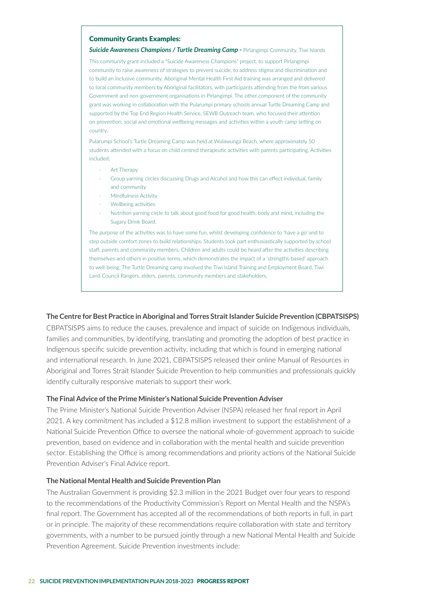#### Community Grants Examples:

#### **Suicide Awareness Champions / Turtle Dreaming Camp - Pirlangimpi Community, Tiwi Islands**

This community grant included a "Suicide Awareness Champions" project, to support Pirlangimpi community to raise awareness of strategies to prevent suicide, to address stigma and discrimination and to build an inclusive community. Aboriginal Mental Health First Aid training was arranged and delivered to local community members by Aboriginal facilitators, with participants attending from the from various Government and non-government organisations in Pirlangimpi. The other component of the community grant was working in collaboration with the Pularumpi primary schools annual Turtle Dreaming Camp and supported by the Top End Region Health Service, SEWB Outreach team, who focused their attention on prevention, social and emotional wellbeing messages and activities within a youth camp setting on country.

Pularumpi School's Turtle Dreaming Camp was held at Wulawunga Beach, where approximately 50 students attended with a focus on child centred therapeutic activities with parents participating. Activities included;

- Art Therapy
- Group yarning circles discussing Drugs and Alcohol and how this can effect individual, family and community
- Mindfulness Activity
- Wellbeing activities
- Nutrition yarning circle to talk about good food for good health, body and mind, including the Sugary Drink Board.

The purpose of the activities was to have some fun, whilst developing confidence to 'have a go' and to step outside comfort zones to build relationships. Students took part enthusiastically supported by school staff, parents and community members. Children and adults could be heard after the activities describing themselves and others in positive terms, which demonstrates the impact of a 'strengths-based' approach to well-being. The Turtle Dreaming camp involved the Tiwi Island Training and Employment Board, Tiwi Land Council Rangers, elders, parents, community members and stakeholders.

#### **The Centre for Best Practice in Aboriginal and Torres Strait Islander Suicide Prevention (CBPATSISPS)**

CBPATSISPS aims to reduce the causes, prevalence and impact of suicide on Indigenous individuals, families and communities, by identifying, translating and promoting the adoption of best practice in Indigenous specific suicide prevention activity, including that which is found in emerging national and international research. In June 2021, CBPATSISPS released their online Manual of Resources in Aboriginal and Torres Strait Islander Suicide Prevention to help communities and professionals quickly identify culturally responsive materials to support their work.

#### **The Final Advice of the Prime Minister's National Suicide Prevention Adviser**

The Prime Minister's National Suicide Prevention Adviser (NSPA) released her final report in April 2021. A key commitment has included a \$12.8 million investment to support the establishment of a National Suicide Prevention Office to oversee the national whole-of-government approach to suicide prevention, based on evidence and in collaboration with the mental health and suicide prevention sector. Establishing the Office is among recommendations and priority actions of the National Suicide Prevention Adviser's Final Advice report.

#### **The National Mental Health and Suicide Prevention Plan**

The Australian Government is providing \$2.3 million in the 2021 Budget over four years to respond to the recommendations of the Productivity Commission's Report on Mental Health and the NSPA's final report. The Government has accepted all of the recommendations of both reports in full, in part or in principle. The majority of these recommendations require collaboration with state and territory governments, with a number to be pursued jointly through a new National Mental Health and Suicide Prevention Agreement. Suicide Prevention investments include: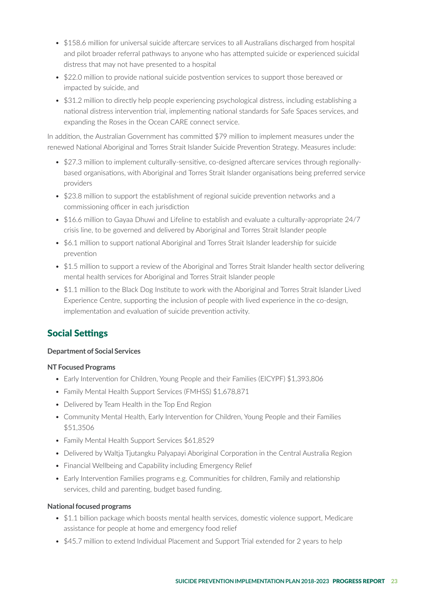- \$158.6 million for universal suicide aftercare services to all Australians discharged from hospital and pilot broader referral pathways to anyone who has attempted suicide or experienced suicidal distress that may not have presented to a hospital
- \$22.0 million to provide national suicide postvention services to support those bereaved or impacted by suicide, and
- \$31.2 million to directly help people experiencing psychological distress, including establishing a national distress intervention trial, implementing national standards for Safe Spaces services, and expanding the Roses in the Ocean CARE connect service.

In addition, the Australian Government has committed \$79 million to implement measures under the renewed National Aboriginal and Torres Strait Islander Suicide Prevention Strategy. Measures include:

- \$27.3 million to implement culturally-sensitive, co-designed aftercare services through regionallybased organisations, with Aboriginal and Torres Strait Islander organisations being preferred service providers
- \$23.8 million to support the establishment of regional suicide prevention networks and a commissioning officer in each jurisdiction
- \$16.6 million to Gayaa Dhuwi and Lifeline to establish and evaluate a culturally-appropriate 24/7 crisis line, to be governed and delivered by Aboriginal and Torres Strait Islander people
- \$6.1 million to support national Aboriginal and Torres Strait Islander leadership for suicide prevention
- \$1.5 million to support a review of the Aboriginal and Torres Strait Islander health sector delivering mental health services for Aboriginal and Torres Strait Islander people
- \$1.1 million to the Black Dog Institute to work with the Aboriginal and Torres Strait Islander Lived Experience Centre, supporting the inclusion of people with lived experience in the co-design, implementation and evaluation of suicide prevention activity.

## Social Settings

#### **Department of Social Services**

#### **NT Focused Programs**

- Early Intervention for Children, Young People and their Families (EICYPF) \$1,393,806
- Family Mental Health Support Services (FMHSS) \$1,678,871
- Delivered by Team Health in the Top End Region
- Community Mental Health, Early Intervention for Children, Young People and their Families \$51,3506
- Family Mental Health Support Services \$61,8529
- Delivered by Waltja Tjutangku Palyapayi Aboriginal Corporation in the Central Australia Region
- Financial Wellbeing and Capability including Emergency Relief
- Early Intervention Families programs e.g. Communities for children, Family and relationship services, child and parenting, budget based funding.

#### **National focused programs**

- \$1.1 billion package which boosts mental health services, domestic violence support, Medicare assistance for people at home and emergency food relief
- \$45.7 million to extend Individual Placement and Support Trial extended for 2 years to help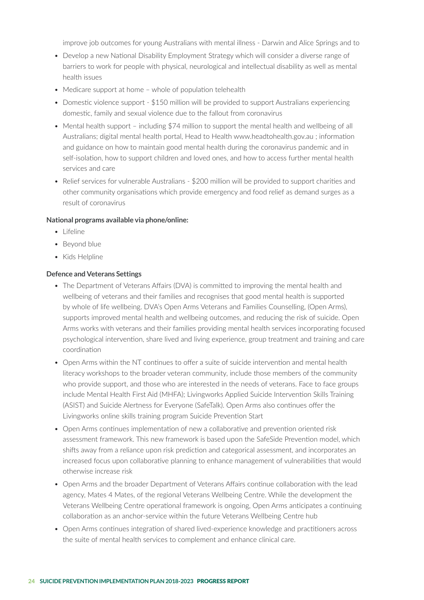improve job outcomes for young Australians with mental illness - Darwin and Alice Springs and to

- Develop a new National Disability Employment Strategy which will consider a diverse range of barriers to work for people with physical, neurological and intellectual disability as well as mental health issues
- Medicare support at home whole of population telehealth
- Domestic violence support \$150 million will be provided to support Australians experiencing domestic, family and sexual violence due to the fallout from coronavirus
- Mental health support including \$74 million to support the mental health and wellbeing of all Australians; digital mental health portal, Head to Health www.headtohealth.gov.au ; information and guidance on how to maintain good mental health during the coronavirus pandemic and in self-isolation, how to support children and loved ones, and how to access further mental health services and care
- Relief services for vulnerable Australians \$200 million will be provided to support charities and other community organisations which provide emergency and food relief as demand surges as a result of coronavirus

#### **National programs available via phone/online:**

- Lifeline
- Beyond blue
- Kids Helpline

#### **Defence and Veterans Settings**

- The Department of Veterans Affairs (DVA) is committed to improving the mental health and wellbeing of veterans and their families and recognises that good mental health is supported by whole of life wellbeing. DVA's Open Arms Veterans and Families Counselling, (Open Arms), supports improved mental health and wellbeing outcomes, and reducing the risk of suicide. Open Arms works with veterans and their families providing mental health services incorporating focused psychological intervention, share lived and living experience, group treatment and training and care coordination
- Open Arms within the NT continues to offer a suite of suicide intervention and mental health literacy workshops to the broader veteran community, include those members of the community who provide support, and those who are interested in the needs of veterans. Face to face groups include Mental Health First Aid (MHFA); Livingworks Applied Suicide Intervention Skills Training (ASIST) and Suicide Alertness for Everyone (SafeTalk). Open Arms also continues offer the Livingworks online skills training program Suicide Prevention Start
- Open Arms continues implementation of new a collaborative and prevention oriented risk assessment framework. This new framework is based upon the SafeSide Prevention model, which shifts away from a reliance upon risk prediction and categorical assessment, and incorporates an increased focus upon collaborative planning to enhance management of vulnerabilities that would otherwise increase risk
- Open Arms and the broader Department of Veterans Affairs continue collaboration with the lead agency, Mates 4 Mates, of the regional Veterans Wellbeing Centre. While the development the Veterans Wellbeing Centre operational framework is ongoing, Open Arms anticipates a continuing collaboration as an anchor-service within the future Veterans Wellbeing Centre hub
- Open Arms continues integration of shared lived-experience knowledge and practitioners across the suite of mental health services to complement and enhance clinical care.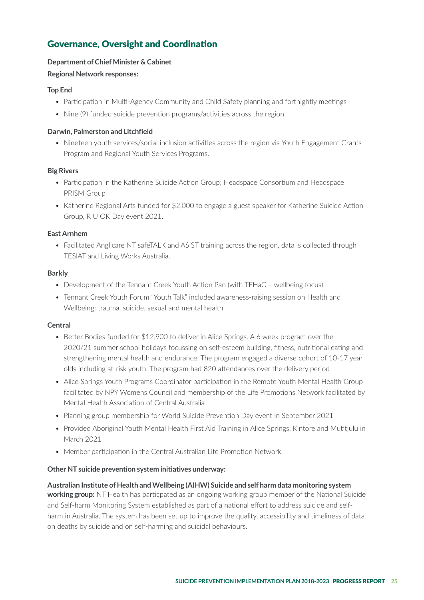## Governance, Oversight and Coordination

#### **Department of Chief Minister & Cabinet**

#### **Regional Network responses:**

#### **Top End**

- Participation in Multi-Agency Community and Child Safety planning and fortnightly meetings
- Nine (9) funded suicide prevention programs/activities across the region.

#### **Darwin, Palmerston and Litchfield**

• Nineteen youth services/social inclusion activities across the region via Youth Engagement Grants Program and Regional Youth Services Programs.

#### **Big Rivers**

- Participation in the Katherine Suicide Action Group; Headspace Consortium and Headspace PRISM Group
- Katherine Regional Arts funded for \$2,000 to engage a guest speaker for Katherine Suicide Action Group, R U OK Day event 2021.

#### **East Arnhem**

• Facilitated Anglicare NT safeTALK and ASIST training across the region, data is collected through TESIAT and Living Works Australia.

#### **Barkly**

- Development of the Tennant Creek Youth Action Pan (with TFHaC wellbeing focus)
- Tennant Creek Youth Forum "Youth Talk" included awareness-raising session on Health and Wellbeing: trauma, suicide, sexual and mental health.

#### **Central**

- Better Bodies funded for \$12,900 to deliver in Alice Springs. A 6 week program over the 2020/21 summer school holidays focussing on self-esteem building, fitness, nutritional eating and strengthening mental health and endurance. The program engaged a diverse cohort of 10-17 year olds including at-risk youth. The program had 820 attendances over the delivery period
- Alice Springs Youth Programs Coordinator participation in the Remote Youth Mental Health Group facilitated by NPY Womens Council and membership of the Life Promotions Network facilitated by Mental Health Association of Central Australia
- Planning group membership for World Suicide Prevention Day event in September 2021
- Provided Aboriginal Youth Mental Health First Aid Training in Alice Springs, Kintore and Mutitjulu in March 2021
- Member participation in the Central Australian Life Promotion Network.

#### **Other NT suicide prevention system initiatives underway:**

## **Australian Institute of Health and Wellbeing (AIHW) Suicide and self harm data monitoring system working group:** NT Health has particpated as an ongoing working group member of the National Suicide and Self-harm Monitoring System established as part of a national effort to address suicide and self-

harm in Australia. The system has been set up to improve the quality, accessibility and timeliness of data on deaths by suicide and on self-harming and suicidal behaviours.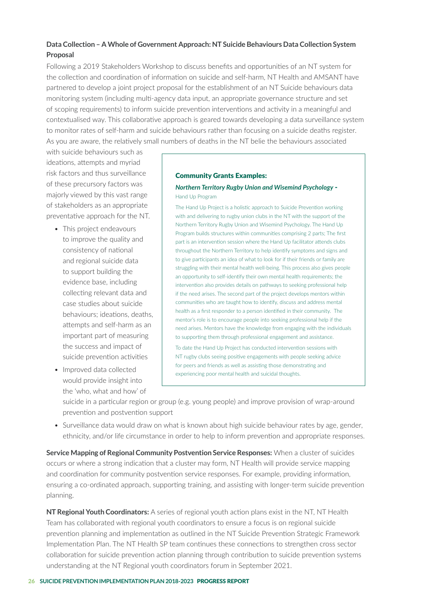### **Data Collection – A Whole of Government Approach: NT Suicide Behaviours Data Collection System Proposal**

Following a 2019 Stakeholders Workshop to discuss benefits and opportunities of an NT system for the collection and coordination of information on suicide and self-harm, NT Health and AMSANT have partnered to develop a joint project proposal for the establishment of an NT Suicide behaviours data monitoring system (including multi-agency data input, an appropriate governance structure and set of scoping requirements) to inform suicide prevention interventions and activity in a meaningful and contextualised way. This collaborative approach is geared towards developing a data surveillance system to monitor rates of self-harm and suicide behaviours rather than focusing on a suicide deaths register. As you are aware, the relatively small numbers of deaths in the NT belie the behaviours associated

with suicide behaviours such as ideations, attempts and myriad risk factors and thus surveillance of these precursory factors was majorly viewed by this vast range of stakeholders as an appropriate preventative approach for the NT.

- This project endeavours to improve the quality and consistency of national and regional suicide data to support building the evidence base, including collecting relevant data and case studies about suicide behaviours; ideations, deaths, attempts and self-harm as an important part of measuring the success and impact of suicide prevention activities
- Improved data collected would provide insight into the 'who, what and how' of

#### Community Grants Examples:

#### *Northern Territory Rugby Union and Wisemind Psychology* - Hand Up Program

The Hand Up Project is a holistic approach to Suicide Prevention working with and delivering to rugby union clubs in the NT with the support of the Northern Territory Rugby Union and Wisemind Psychology. The Hand Up Program builds structures within communities comprising 2 parts; The first part is an intervention session where the Hand Up facilitator attends clubs throughout the Northern Territory to help identify symptoms and signs and to give participants an idea of what to look for if their friends or family are struggling with their mental health well-being. This process also gives people an opportunity to self-identify their own mental health requirements; the intervention also provides details on pathways to seeking professional help if the need arises. The second part of the project develops mentors within communities who are taught how to identify, discuss and address mental health as a first responder to a person identified in their community. The mentor's role is to encourage people into seeking professional help if the need arises. Mentors have the knowledge from engaging with the individuals to supporting them through professional engagement and assistance.

To date the Hand Up Project has conducted intervention sessions with NT rugby clubs seeing positive engagements with people seeking advice for peers and friends as well as assisting those demonstrating and experiencing poor mental health and suicidal thoughts.

suicide in a particular region or group (e.g. young people) and improve provision of wrap-around prevention and postvention support

• Surveillance data would draw on what is known about high suicide behaviour rates by age, gender, ethnicity, and/or life circumstance in order to help to inform prevention and appropriate responses.

**Service Mapping of Regional Community Postvention Service Responses:** When a cluster of suicides occurs or where a strong indication that a cluster may form, NT Health will provide service mapping and coordination for community postvention service responses. For example, providing information, ensuring a co-ordinated approach, supporting training, and assisting with longer-term suicide prevention planning.

**NT Regional Youth Coordinators:** A series of regional youth action plans exist in the NT, NT Health Team has collaborated with regional youth coordinators to ensure a focus is on regional suicide prevention planning and implementation as outlined in the NT Suicide Prevention Strategic Framework Implementation Plan. The NT Health SP team continues these connections to strengthen cross sector collaboration for suicide prevention action planning through contribution to suicide prevention systems understanding at the NT Regional youth coordinators forum in September 2021.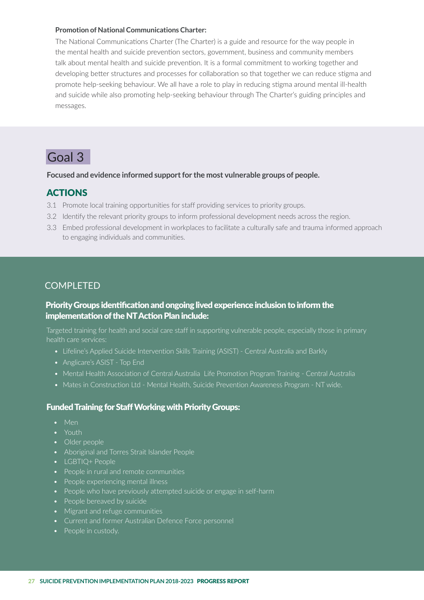#### **Promotion of National Communications Charter:**

The National Communications Charter (The Charter) is a guide and resource for the way people in the mental health and suicide prevention sectors, government, business and community members talk about mental health and suicide prevention. It is a formal commitment to working together and developing better structures and processes for collaboration so that together we can reduce stigma and promote help-seeking behaviour. We all have a role to play in reducing stigma around mental ill-health and suicide while also promoting help-seeking behaviour through The Charter's guiding principles and messages.

## Goal 3

#### **Focused and evidence informed support for the most vulnerable groups of people.**

### ACTIONS

- 3.1 Promote local training opportunities for staff providing services to priority groups.
- 3.2 Identify the relevant priority groups to inform professional development needs across the region.
- 3.3 Embed professional development in workplaces to facilitate a culturally safe and trauma informed approach to engaging individuals and communities.

## COMPI FTFD

### Priority Groups identification and ongoing lived experience inclusion to inform the implementation of the NT Action Plan include:

Targeted training for health and social care staff in supporting vulnerable people, especially those in primary health care services:

- Lifeline's Applied Suicide Intervention Skills Training (ASIST) Central Australia and Barkly
- Anglicare's ASIST Top End
- Mental Health Association of Central Australia Life Promotion Program Training Central Australia
- Mates in Construction Ltd Mental Health, Suicide Prevention Awareness Program NT wide.

#### Funded Training for Staff Working with Priority Groups:

- Men
- Youth
- Older people
- Aboriginal and Torres Strait Islander People
- LGBTIQ+ People
- People in rural and remote communities
- People experiencing mental illness
- People who have previously attempted suicide or engage in self-harm
- People bereaved by suicide
- Migrant and refuge communities
- Current and former Australian Defence Force personnel
- People in custody.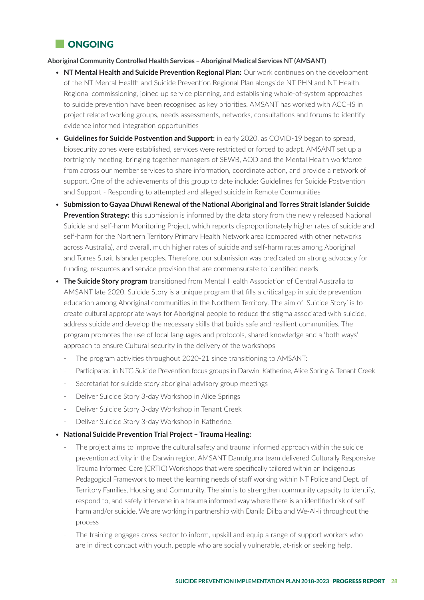

#### **Aboriginal Community Controlled Health Services – Aboriginal Medical Services NT (AMSANT)**

- **NT Mental Health and Suicide Prevention Regional Plan:** Our work continues on the development of the NT Mental Health and Suicide Prevention Regional Plan alongside NT PHN and NT Health. Regional commissioning, joined up service planning, and establishing whole-of-system approaches to suicide prevention have been recognised as key priorities. AMSANT has worked with ACCHS in project related working groups, needs assessments, networks, consultations and forums to identify evidence informed integration opportunities
- **Guidelines for Suicide Postvention and Support:** in early 2020, as COVID-19 began to spread, biosecurity zones were established, services were restricted or forced to adapt. AMSANT set up a fortnightly meeting, bringing together managers of SEWB, AOD and the Mental Health workforce from across our member services to share information, coordinate action, and provide a network of support. One of the achievements of this group to date include: Guidelines for Suicide Postvention and Support - Responding to attempted and alleged suicide in Remote Communities
- **Submission to Gayaa Dhuwi Renewal of the National Aboriginal and Torres Strait Islander Suicide Prevention Strategy:** this submission is informed by the data story from the newly released National Suicide and self-harm Monitoring Project, which reports disproportionately higher rates of suicide and self-harm for the Northern Territory Primary Health Network area (compared with other networks across Australia), and overall, much higher rates of suicide and self-harm rates among Aboriginal and Torres Strait Islander peoples. Therefore, our submission was predicated on strong advocacy for funding, resources and service provision that are commensurate to identified needs
- **The Suicide Story program** transitioned from Mental Health Association of Central Australia to AMSANT late 2020. Suicide Story is a unique program that fills a critical gap in suicide prevention education among Aboriginal communities in the Northern Territory. The aim of 'Suicide Story' is to create cultural appropriate ways for Aboriginal people to reduce the stigma associated with suicide, address suicide and develop the necessary skills that builds safe and resilient communities. The program promotes the use of local languages and protocols, shared knowledge and a 'both ways' approach to ensure Cultural security in the delivery of the workshops
	- The program activities throughout 2020-21 since transitioning to AMSANT:
	- Participated in NTG Suicide Prevention focus groups in Darwin, Katherine, Alice Spring & Tenant Creek
	- Secretariat for suicide story aboriginal advisory group meetings
	- Deliver Suicide Story 3-day Workshop in Alice Springs
	- Deliver Suicide Story 3-day Workshop in Tenant Creek
	- Deliver Suicide Story 3-day Workshop in Katherine.
- **National Suicide Prevention Trial Project Trauma Healing:**
	- The project aims to improve the cultural safety and trauma informed approach within the suicide prevention activity in the Darwin region. AMSANT Damulgurra team delivered Culturally Responsive Trauma Informed Care (CRTIC) Workshops that were specifically tailored within an Indigenous Pedagogical Framework to meet the learning needs of staff working within NT Police and Dept. of Territory Families, Housing and Community. The aim is to strengthen community capacity to identify, respond to, and safely intervene in a trauma informed way where there is an identified risk of selfharm and/or suicide. We are working in partnership with Danila Dilba and We-Al-li throughout the process
	- The training engages cross-sector to inform, upskill and equip a range of support workers who are in direct contact with youth, people who are socially vulnerable, at-risk or seeking help.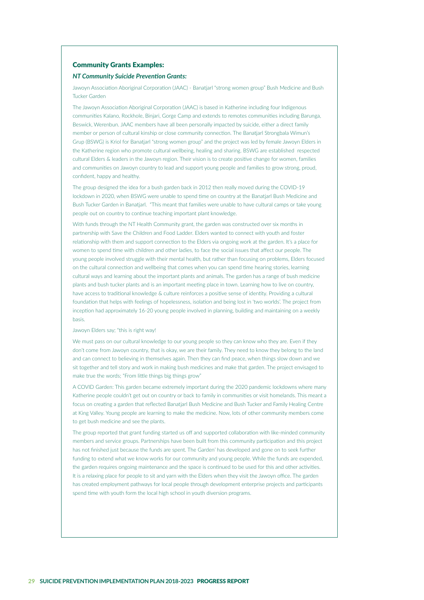#### Community Grants Examples:

#### *NT Community Suicide Prevention Grants:*

Jawoyn Association Aboriginal Corporation (JAAC) - Banatjarl "strong women group" Bush Medicine and Bush Tucker Garden

The Jawoyn Association Aboriginal Corporation (JAAC) is based in Katherine including four Indigenous communities Kalano, Rockhole, Binjari, Gorge Camp and extends to remotes communities including Barunga, Beswick, Werenbun. JAAC members have all been personally impacted by suicide, either a direct family member or person of cultural kinship or close community connection. The Banatjarl Strongbala Wimun's Grup (BSWG) is Kriol for Banatjarl "strong women group" and the project was led by female Jawoyn Elders in the Katherine region who promote cultural wellbeing, healing and sharing. BSWG are established respected cultural Elders & leaders in the Jawoyn region. Their vision is to create positive change for women, families and communities on Jawoyn country to lead and support young people and families to grow strong, proud, confident, happy and healthy.

The group designed the idea for a bush garden back in 2012 then really moved during the COVID-19 lockdown in 2020, when BSWG were unable to spend time on country at the Banatjarl Bush Medicine and Bush Tucker Garden in Banatjarl. "This meant that families were unable to have cultural camps or take young people out on country to continue teaching important plant knowledge.

With funds through the NT Health Community grant, the garden was constructed over six months in partnership with Save the Children and Food Ladder. Elders wanted to connect with youth and foster relationship with them and support connection to the Elders via ongoing work at the garden. It's a place for women to spend time with children and other ladies, to face the social issues that affect our people. The young people involved struggle with their mental health, but rather than focusing on problems, Elders focused on the cultural connection and wellbeing that comes when you can spend time hearing stories, learning cultural ways and learning about the important plants and animals. The garden has a range of bush medicine plants and bush tucker plants and is an important meeting place in town. Learning how to live on country, have access to traditional knowledge & culture reinforces a positive sense of identity. Providing a cultural foundation that helps with feelings of hopelessness, isolation and being lost in 'two worlds'. The project from inception had approximately 16-20 young people involved in planning, building and maintaining on a weekly basis.

#### Jawoyn Elders say; "this is right way!

We must pass on our cultural knowledge to our young people so they can know who they are. Even if they don't come from Jawoyn country, that is okay, we are their family. They need to know they belong to the land and can connect to believing in themselves again. Then they can find peace, when things slow down and we sit together and tell story and work in making bush medicines and make that garden. The project envisaged to make true the words; "From little things big things grow"

A COVID Garden: This garden became extremely important during the 2020 pandemic lockdowns where many Katherine people couldn't get out on country or back to family in communities or visit homelands. This meant a focus on creating a garden that reflected Banatjarl Bush Medicine and Bush Tucker and Family Healing Centre at King Valley. Young people are learning to make the medicine. Now, lots of other community members come to get bush medicine and see the plants.

The group reported that grant funding started us off and supported collaboration with like-minded community members and service groups. Partnerships have been built from this community participation and this project has not finished just because the funds are spent. The Garden' has developed and gone on to seek further funding to extend what we know works for our community and young people. While the funds are expended, the garden requires ongoing maintenance and the space is continued to be used for this and other activities. It is a relaxing place for people to sit and yarn with the Elders when they visit the Jawoyn office. The garden has created employment pathways for local people through development enterprise projects and participants spend time with youth form the local high school in youth diversion programs.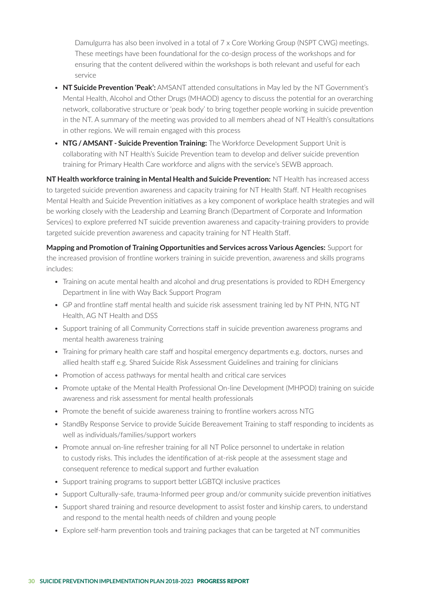Damulgurra has also been involved in a total of 7 x Core Working Group (NSPT CWG) meetings. These meetings have been foundational for the co-design process of the workshops and for ensuring that the content delivered within the workshops is both relevant and useful for each service

- **NT Suicide Prevention 'Peak':** AMSANT attended consultations in May led by the NT Government's Mental Health, Alcohol and Other Drugs (MHAOD) agency to discuss the potential for an overarching network, collaborative structure or 'peak body' to bring together people working in suicide prevention in the NT. A summary of the meeting was provided to all members ahead of NT Health's consultations in other regions. We will remain engaged with this process
- **NTG / AMSANT Suicide Prevention Training:** The Workforce Development Support Unit is collaborating with NT Health's Suicide Prevention team to develop and deliver suicide prevention training for Primary Health Care workforce and aligns with the service's SEWB approach.

**NT Health workforce training in Mental Health and Suicide Prevention:** NT Health has increased access to targeted suicide prevention awareness and capacity training for NT Health Staff. NT Health recognises Mental Health and Suicide Prevention initiatives as a key component of workplace health strategies and will be working closely with the Leadership and Learning Branch (Department of Corporate and Information Services) to explore preferred NT suicide prevention awareness and capacity-training providers to provide targeted suicide prevention awareness and capacity training for NT Health Staff.

**Mapping and Promotion of Training Opportunities and Services across Various Agencies:** Support for the increased provision of frontline workers training in suicide prevention, awareness and skills programs includes:

- Training on acute mental health and alcohol and drug presentations is provided to RDH Emergency Department in line with Way Back Support Program
- GP and frontline staff mental health and suicide risk assessment training led by NT PHN, NTG NT Health, AG NT Health and DSS
- Support training of all Community Corrections staff in suicide prevention awareness programs and mental health awareness training
- Training for primary health care staff and hospital emergency departments e.g. doctors, nurses and allied health staff e.g. Shared Suicide Risk Assessment Guidelines and training for clinicians
- Promotion of access pathways for mental health and critical care services
- Promote uptake of the Mental Health Professional On-line Development (MHPOD) training on suicide awareness and risk assessment for mental health professionals
- Promote the benefit of suicide awareness training to frontline workers across NTG
- StandBy Response Service to provide Suicide Bereavement Training to staff responding to incidents as well as individuals/families/support workers
- Promote annual on-line refresher training for all NT Police personnel to undertake in relation to custody risks. This includes the identification of at-risk people at the assessment stage and consequent reference to medical support and further evaluation
- Support training programs to support better LGBTQI inclusive practices
- Support Culturally-safe, trauma-Informed peer group and/or community suicide prevention initiatives
- Support shared training and resource development to assist foster and kinship carers, to understand and respond to the mental health needs of children and young people
- Explore self-harm prevention tools and training packages that can be targeted at NT communities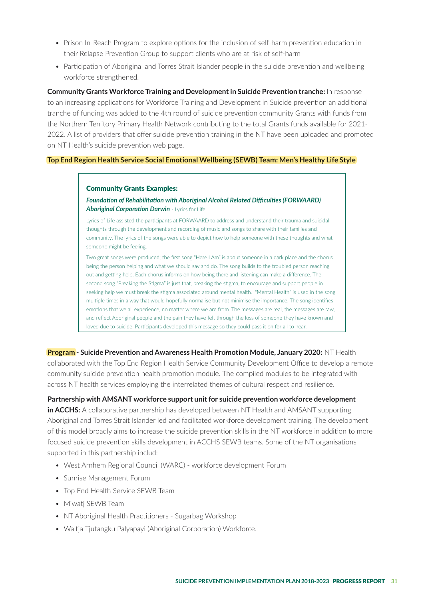- Prison In-Reach Program to explore options for the inclusion of self-harm prevention education in their Relapse Prevention Group to support clients who are at risk of self-harm
- Participation of Aboriginal and Torres Strait Islander people in the suicide prevention and wellbeing workforce strengthened.

**Community Grants Workforce Training and Development in Suicide Prevention tranche:** In response to an increasing applications for Workforce Training and Development in Suicide prevention an additional tranche of funding was added to the 4th round of suicide prevention community Grants with funds from the Northern Territory Primary Health Network contributing to the total Grants funds available for 2021- 2022. A list of providers that offer suicide prevention training in the NT have been uploaded and promoted on NT Health's suicide prevention web page.

#### **Top End Region Health Service Social Emotional Wellbeing (SEWB) Team: Men's Healthy Life Style**

#### Community Grants Examples:

#### *Foundation of Rehabilitation with Aboriginal Alcohol Related Difficulties (FORWAARD) Aboriginal Corporation Darwin* - Lyrics for Life

Lyrics of Life assisted the participants at FORWAARD to address and understand their trauma and suicidal thoughts through the development and recording of music and songs to share with their families and community. The lyrics of the songs were able to depict how to help someone with these thoughts and what someone might be feeling.

Two great songs were produced; the first song "Here I Am" is about someone in a dark place and the chorus being the person helping and what we should say and do. The song builds to the troubled person reaching out and getting help. Each chorus informs on how being there and listening can make a difference. The second song "Breaking the Stigma" is just that, breaking the stigma, to encourage and support people in seeking help we must break the stigma associated around mental health. "Mental Health" is used in the song multiple times in a way that would hopefully normalise but not minimise the importance. The song identifies emotions that we all experience, no matter where we are from. The messages are real, the messages are raw, and reflect Aboriginal people and the pain they have felt through the loss of someone they have known and loved due to suicide. Participants developed this message so they could pass it on for all to hear.

**Program - Suicide Prevention and Awareness Health Promotion Module, January 2020:** NT Health collaborated with the Top End Region Health Service Community Development Office to develop a remote community suicide prevention health promotion module. The compiled modules to be integrated with across NT health services employing the interrelated themes of cultural respect and resilience.

#### **Partnership with AMSANT workforce support unit for suicide prevention workforce development**

**in ACCHS:** A collaborative partnership has developed between NT Health and AMSANT supporting Aboriginal and Torres Strait Islander led and facilitated workforce development training. The development of this model broadly aims to increase the suicide prevention skills in the NT workforce in addition to more focused suicide prevention skills development in ACCHS SEWB teams. Some of the NT organisations supported in this partnership includ:

- West Arnhem Regional Council (WARC) workforce development Forum
- Sunrise Management Forum
- Top End Health Service SEWB Team
- Miwatj SEWB Team
- NT Aboriginal Health Practitioners Sugarbag Workshop
- Waltja Tjutangku Palyapayi (Aboriginal Corporation) Workforce.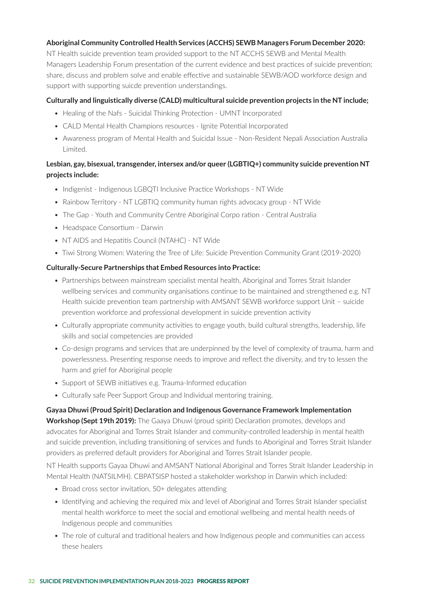#### **Aboriginal Community Controlled Health Services (ACCHS) SEWB Managers Forum December 2020:**

NT Health suicide prevention team provided support to the NT ACCHS SEWB and Mental Mealth Managers Leadership Forum presentation of the current evidence and best practices of suicide prevention; share, discuss and problem solve and enable effective and sustainable SEWB/AOD workforce design and support with supporting suicde prevention understandings.

#### **Culturally and linguistically diverse (CALD) multicultural suicide prevention projects in the NT include;**

- Healing of the Nafs Suicidal Thinking Protection UMNT Incorporated
- CALD Mental Health Champions resources Ignite Potential Incorporated
- Awareness program of Mental Health and Suicidal Issue Non-Resident Nepali Association Australia Limited.

#### **Lesbian, gay, bisexual, transgender, intersex and/or queer (LGBTIQ+) community suicide prevention NT projects include:**

- Indigenist Indigenous LGBQTI Inclusive Practice Workshops NT Wide
- Rainbow Territory NT LGBTIQ community human rights advocacy group NT Wide
- The Gap Youth and Community Centre Aboriginal Corpo ration Central Australia
- Headspace Consortium Darwin
- NT AIDS and Hepatitis Council (NTAHC) NT Wide
- Tiwi Strong Women: Watering the Tree of Life: Suicide Prevention Community Grant (2019-2020)

#### **Culturally-Secure Partnerships that Embed Resources into Practice:**

- Partnerships between mainstream specialist mental health, Aboriginal and Torres Strait Islander wellbeing services and community organisations continue to be maintained and strengthened e.g. NT Health suicide prevention team partnership with AMSANT SEWB workforce support Unit – suicide prevention workforce and professional development in suicide prevention activity
- Culturally appropriate community activities to engage youth, build cultural strengths, leadership, life skills and social competencies are provided
- Co-design programs and services that are underpinned by the level of complexity of trauma, harm and powerlessness. Presenting response needs to improve and reflect the diversity, and try to lessen the harm and grief for Aboriginal people
- Support of SEWB initiatives e.g. Trauma-Informed education
- Culturally safe Peer Support Group and Individual mentoring training.

#### **Gayaa Dhuwi (Proud Spirit) Declaration and Indigenous Governance Framework Implementation**

**Workshop (Sept 19th 2019):** The Gaaya Dhuwi (proud spirit) Declaration promotes, develops and advocates for Aboriginal and Torres Strait Islander and community-controlled leadership in mental health and suicide prevention, including transitioning of services and funds to Aboriginal and Torres Strait Islander providers as preferred default providers for Aboriginal and Torres Strait Islander people.

NT Health supports Gayaa Dhuwi and AMSANT National Aboriginal and Torres Strait Islander Leadership in Mental Health (NATSILMH). CBPATSISP hosted a stakeholder workshop in Darwin which included:

- Broad cross sector invitation, 50+ delegates attending
- Identifying and achieving the required mix and level of Aboriginal and Torres Strait Islander specialist mental health workforce to meet the social and emotional wellbeing and mental health needs of Indigenous people and communities
- The role of cultural and traditional healers and how Indigenous people and communities can access these healers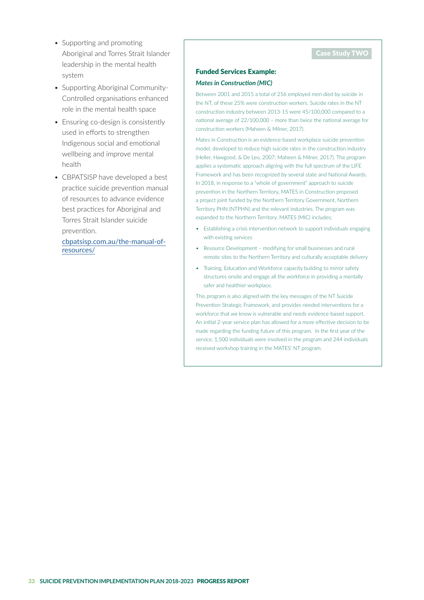- Supporting and promoting Aboriginal and Torres Strait Islander leadership in the mental health system
- Supporting Aboriginal Community-Controlled organisations enhanced role in the mental health space
- Ensuring co-design is consistently used in efforts to strengthen Indigenous social and emotional wellbeing and improve mental health
- CBPATSISP have developed a best practice suicide prevention manual of resources to advance evidence best practices for Aboriginal and Torres Strait Islander suicide prevention.

 cbpatsisp.com.au/the-manual-ofresources/

#### Case Study TWO

#### Funded Services Example: *Mates in Construction (MIC)*

Between 2001 and 2015 a total of 256 employed men died by suicide in the NT, of these 25% were construction workers. Suicide rates in the NT construction industry between 2013-15 were 45/100,000 compared to a national average of 22/100,000 – more than twice the national average for construction workers (Maheen & Milner, 2017).

Mates in Construction is an evidence-based workplace suicide prevention model, developed to reduce high suicide rates in the construction industry (Heller, Hawgood, & De Leo, 2007; Maheen & Milner, 2017). The program applies a systematic approach aligning with the full spectrum of the LIFE Framework and has been recognized by several state and National Awards. In 2018, in response to a "whole of government" approach to suicide prevention in the Northern Territory, MATES in Construction proposed a project joint funded by the Northern Territory Government, Northern Territory PHN (NTPHN) and the relevant industries. The program was expanded to the Northern Territory. MATES (MIC) includes;

- Establishing a crisis intervention network to support individuals engaging with existing services
- Resource Development modifying for small businesses and rural remote sites to the Northern Territory and culturally acceptable delivery
- Training, Education and Workforce capacity building to mirror safety structures onsite and engage all the workforce in providing a mentally safer and healthier workplace.

This program is also aligned with the key messages of the NT Suicide Prevention Strategic Framework, and provides needed interventions for a workforce that we know is vulnerable and needs evidence-based support. An initial 2-year service plan has allowed for a more effective decision to be made regarding the funding future of this program. In the first year of the service, 1,500 individuals were involved in the program and 244 individuals received workshop training in the MATES' NT program.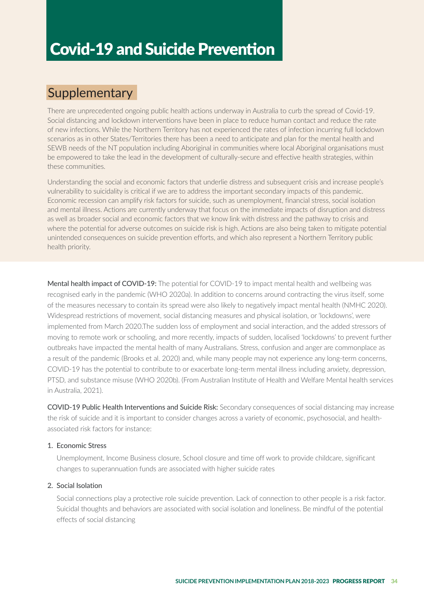## Covid-19 and Suicide Prevention

## **Supplementary**

There are unprecedented ongoing public health actions underway in Australia to curb the spread of Covid-19. Social distancing and lockdown interventions have been in place to reduce human contact and reduce the rate of new infections. While the Northern Territory has not experienced the rates of infection incurring full lockdown scenarios as in other States/Territories there has been a need to anticipate and plan for the mental health and SEWB needs of the NT population including Aboriginal in communities where local Aboriginal organisations must be empowered to take the lead in the development of culturally-secure and effective health strategies, within these communities.

Understanding the social and economic factors that underlie distress and subsequent crisis and increase people's vulnerability to suicidality is critical if we are to address the important secondary impacts of this pandemic. Economic recession can amplify risk factors for suicide, such as unemployment, financial stress, social isolation and mental illness. Actions are currently underway that focus on the immediate impacts of disruption and distress as well as broader social and economic factors that we know link with distress and the pathway to crisis and where the potential for adverse outcomes on suicide risk is high. Actions are also being taken to mitigate potential unintended consequences on suicide prevention efforts, and which also represent a Northern Territory public health priority.

Mental health impact of COVID-19: The potential for COVID-19 to impact mental health and wellbeing was recognised early in the pandemic (WHO 2020a). In addition to concerns around contracting the virus itself, some of the measures necessary to contain its spread were also likely to negatively impact mental health (NMHC 2020). Widespread restrictions of movement, social distancing measures and physical isolation, or 'lockdowns', were implemented from March 2020.The sudden loss of employment and social interaction, and the added stressors of moving to remote work or schooling, and more recently, impacts of sudden, localised 'lockdowns' to prevent further outbreaks have impacted the mental health of many Australians. Stress, confusion and anger are commonplace as a result of the pandemic (Brooks et al. 2020) and, while many people may not experience any long-term concerns, COVID-19 has the potential to contribute to or exacerbate long-term mental illness including anxiety, depression, PTSD, and substance misuse (WHO 2020b). (From Australian Institute of Health and Welfare Mental health services in Australia, 2021).

COVID-19 Public Health Interventions and Suicide Risk: Secondary consequences of social distancing may increase the risk of suicide and it is important to consider changes across a variety of economic, psychosocial, and healthassociated risk factors for instance:

#### 1. Economic Stress

 Unemployment, Income Business closure, School closure and time off work to provide childcare, significant changes to superannuation funds are associated with higher suicide rates

#### 2. Social Isolation

 Social connections play a protective role suicide prevention. Lack of connection to other people is a risk factor. Suicidal thoughts and behaviors are associated with social isolation and loneliness. Be mindful of the potential effects of social distancing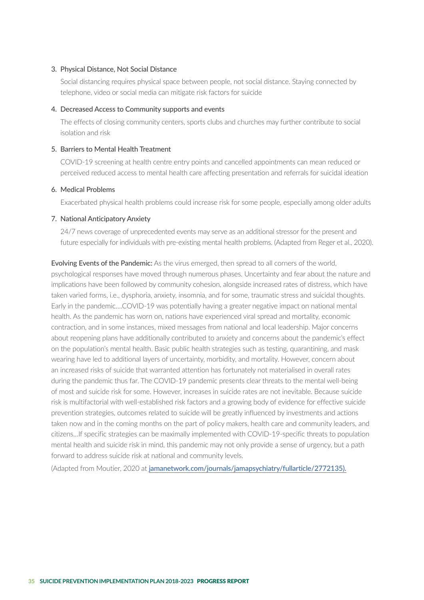#### 3. Physical Distance, Not Social Distance

 Social distancing requires physical space between people, not social distance. Staying connected by telephone, video or social media can mitigate risk factors for suicide

#### 4. Decreased Access to Community supports and events

 The effects of closing community centers, sports clubs and churches may further contribute to social isolation and risk

#### 5. Barriers to Mental Health Treatment

 COVID-19 screening at health centre entry points and cancelled appointments can mean reduced or perceived reduced access to mental health care affecting presentation and referrals for suicidal ideation

#### 6. Medical Problems

Exacerbated physical health problems could increase risk for some people, especially among older adults

#### 7. National Anticipatory Anxiety

 24/7 news coverage of unprecedented events may serve as an additional stressor for the present and future especially for individuals with pre-existing mental health problems. (Adapted from Reger et al., 2020).

Evolving Events of the Pandemic: As the virus emerged, then spread to all corners of the world, psychological responses have moved through numerous phases. Uncertainty and fear about the nature and implications have been followed by community cohesion, alongside increased rates of distress, which have taken varied forms, i.e., dysphoria, anxiety, insomnia, and for some, traumatic stress and suicidal thoughts. Early in the pandemic….COVID-19 was potentially having a greater negative impact on national mental health. As the pandemic has worn on, nations have experienced viral spread and mortality, economic contraction, and in some instances, mixed messages from national and local leadership. Major concerns about reopening plans have additionally contributed to anxiety and concerns about the pandemic's effect on the population's mental health. Basic public health strategies such as testing, quarantining, and mask wearing have led to additional layers of uncertainty, morbidity, and mortality. However, concern about an increased risks of suicide that warranted attention has fortunately not materialised in overall rates during the pandemic thus far. The COVID-19 pandemic presents clear threats to the mental well-being of most and suicide risk for some. However, increases in suicide rates are not inevitable. Because suicide risk is multifactorial with well-established risk factors and a growing body of evidence for effective suicide prevention strategies, outcomes related to suicide will be greatly influenced by investments and actions taken now and in the coming months on the part of policy makers, health care and community leaders, and citizens…If specific strategies can be maximally implemented with COVID-19-specific threats to population mental health and suicide risk in mind, this pandemic may not only provide a sense of urgency, but a path forward to address suicide risk at national and community levels.

(Adapted from Moutier, 2020 at jamanetwork.com/journals/jamapsychiatry/fullarticle/2772135).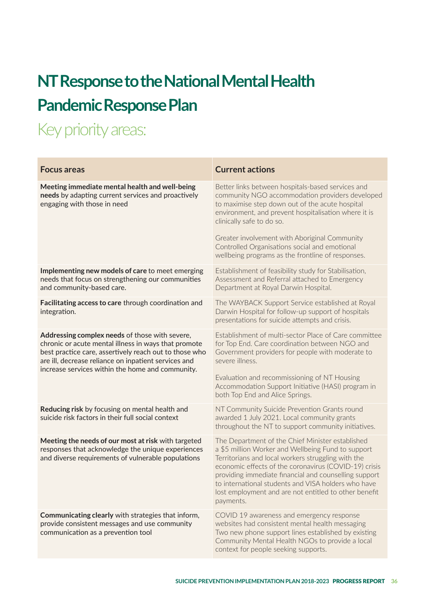## **NT Response to the National Mental Health Pandemic Response Plan**

## Key priority areas:

| <b>Focus areas</b>                                                                                                                                                                                                                                                           | <b>Current actions</b>                                                                                                                                                                                                                                                                                                                                                                                      |  |  |
|------------------------------------------------------------------------------------------------------------------------------------------------------------------------------------------------------------------------------------------------------------------------------|-------------------------------------------------------------------------------------------------------------------------------------------------------------------------------------------------------------------------------------------------------------------------------------------------------------------------------------------------------------------------------------------------------------|--|--|
| Meeting immediate mental health and well-being<br>needs by adapting current services and proactively<br>engaging with those in need                                                                                                                                          | Better links between hospitals-based services and<br>community NGO accommodation providers developed<br>to maximise step down out of the acute hospital<br>environment, and prevent hospitalisation where it is<br>clinically safe to do so.<br>Greater involvement with Aboriginal Community<br>Controlled Organisations social and emotional<br>wellbeing programs as the frontline of responses.         |  |  |
| Implementing new models of care to meet emerging<br>needs that focus on strengthening our communities<br>and community-based care.                                                                                                                                           | Establishment of feasibility study for Stabilisation,<br>Assessment and Referral attached to Emergency<br>Department at Royal Darwin Hospital.                                                                                                                                                                                                                                                              |  |  |
| Facilitating access to care through coordination and<br>integration.                                                                                                                                                                                                         | The WAYBACK Support Service established at Royal<br>Darwin Hospital for follow-up support of hospitals<br>presentations for suicide attempts and crisis.                                                                                                                                                                                                                                                    |  |  |
| Addressing complex needs of those with severe,<br>chronic or acute mental illness in ways that promote<br>best practice care, assertively reach out to those who<br>are ill, decrease reliance on inpatient services and<br>increase services within the home and community. | Establishment of multi-sector Place of Care committee<br>for Top End. Care coordination between NGO and<br>Government providers for people with moderate to<br>severe illness.<br>Evaluation and recommissioning of NT Housing<br>Accommodation Support Initiative (HASI) program in<br>both Top End and Alice Springs.                                                                                     |  |  |
| Reducing risk by focusing on mental health and<br>suicide risk factors in their full social context                                                                                                                                                                          | NT Community Suicide Prevention Grants round<br>awarded 1 July 2021. Local community grants<br>throughout the NT to support community initiatives.                                                                                                                                                                                                                                                          |  |  |
| Meeting the needs of our most at risk with targeted<br>responses that acknowledge the unique experiences<br>and diverse requirements of vulnerable populations                                                                                                               | The Department of the Chief Minister established<br>a \$5 million Worker and Wellbeing Fund to support<br>Territorians and local workers struggling with the<br>economic effects of the coronavirus (COVID-19) crisis<br>providing immediate financial and counselling support<br>to international students and VISA holders who have<br>lost employment and are not entitled to other benefit<br>payments. |  |  |
| Communicating clearly with strategies that inform,<br>provide consistent messages and use community<br>communication as a prevention tool                                                                                                                                    | COVID 19 awareness and emergency response<br>websites had consistent mental health messaging<br>Two new phone support lines established by existing<br>Community Mental Health NGOs to provide a local<br>context for people seeking supports.                                                                                                                                                              |  |  |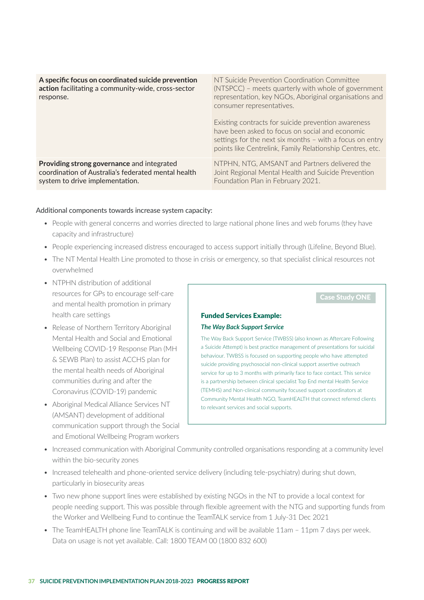| A specific focus on coordinated suicide prevention<br>action facilitating a community-wide, cross-sector<br>response. | NT Suicide Prevention Coordination Committee<br>(NTSPCC) – meets quarterly with whole of government<br>representation, key NGOs, Aboriginal organisations and<br>consumer representatives.<br>Existing contracts for suicide prevention awareness<br>have been asked to focus on social and economic<br>settings for the next six months - with a focus on entry<br>points like Centrelink, Family Relationship Centres, etc. |
|-----------------------------------------------------------------------------------------------------------------------|-------------------------------------------------------------------------------------------------------------------------------------------------------------------------------------------------------------------------------------------------------------------------------------------------------------------------------------------------------------------------------------------------------------------------------|
| Providing strong governance and integrated                                                                            | NTPHN, NTG, AMSANT and Partners delivered the                                                                                                                                                                                                                                                                                                                                                                                 |
| coordination of Australia's federated mental health                                                                   | Joint Regional Mental Health and Suicide Prevention                                                                                                                                                                                                                                                                                                                                                                           |
| system to drive implementation.                                                                                       | Foundation Plan in February 2021.                                                                                                                                                                                                                                                                                                                                                                                             |

#### Additional components towards increase system capacity:

- People with general concerns and worries directed to large national phone lines and web forums (they have capacity and infrastructure)
- People experiencing increased distress encouraged to access support initially through (Lifeline, Beyond Blue).
- The NT Mental Health Line promoted to those in crisis or emergency, so that specialist clinical resources not overwhelmed
- NTPHN distribution of additional resources for GPs to encourage self-care and mental health promotion in primary health care settings
- Release of Northern Territory Aboriginal Mental Health and Social and Emotional Wellbeing COVID-19 Response Plan (MH & SEWB Plan) to assist ACCHS plan for the mental health needs of Aboriginal communities during and after the Coronavirus (COVID-19) pandemic
- Aboriginal Medical Alliance Services NT (AMSANT) development of additional communication support through the Social and Emotional Wellbeing Program workers

## Funded Services Example: *The Way Back Support Service*

The Way Back Support Service (TWBSS) (also known as Aftercare Following a Suicide Attempt) is best practice management of presentations for suicidal behaviour. TWBSS is focused on supporting people who have attempted suicide providing psychosocial non-clinical support assertive outreach service for up to 3 months with primarily face to face contact. This service is a partnership between clinical specialist Top End mental Health Service (TEMHS) and Non-clinical community focused support coordinators at Community Mental Health NGO, TeamHEALTH that connect referred clients to relevant services and social supports.

- Increased communication with Aboriginal Community controlled organisations responding at a community level within the bio-security zones
- Increased telehealth and phone-oriented service delivery (including tele-psychiatry) during shut down, particularly in biosecurity areas
- Two new phone support lines were established by existing NGOs in the NT to provide a local context for people needing support. This was possible through flexible agreement with the NTG and supporting funds from the Worker and Wellbeing Fund to continue the TeamTALK service from 1 July-31 Dec 2021
- The TeamHEALTH phone line TeamTALK is continuing and will be available 11am 11pm 7 days per week. Data on usage is not yet available. Call: 1800 TEAM 00 (1800 832 600)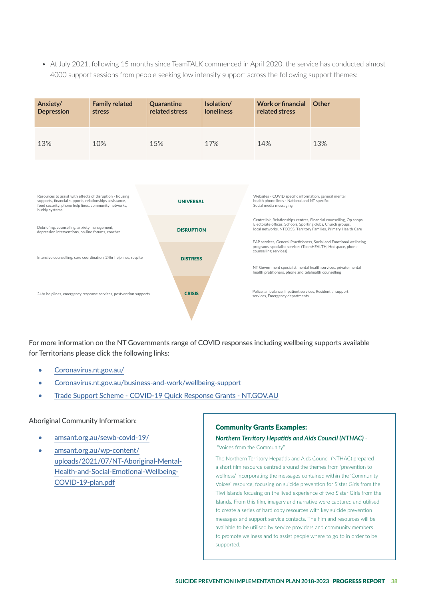• At July 2021, following 15 months since TeamTALK commenced in April 2020, the service has conducted almost 4000 support sessions from people seeking low intensity support across the following support themes:

| Anxiety/<br><b>Depression</b>                                                                                                                                                                | <b>Family related</b><br>stress                                   | Quarantine<br>related stress | Isolation/<br><b>loneliness</b> | <b>Work or financial</b><br>related stress                                                                                                                                                                                                                                   | Other |
|----------------------------------------------------------------------------------------------------------------------------------------------------------------------------------------------|-------------------------------------------------------------------|------------------------------|---------------------------------|------------------------------------------------------------------------------------------------------------------------------------------------------------------------------------------------------------------------------------------------------------------------------|-------|
| 13%                                                                                                                                                                                          | 10%                                                               | 15%                          | 17%                             | 14%                                                                                                                                                                                                                                                                          | 13%   |
|                                                                                                                                                                                              |                                                                   |                              |                                 |                                                                                                                                                                                                                                                                              |       |
| Resources to assist with effects of disruption - housing<br>supports, financial supports, relationships assistance,<br>food security, phone help lines, community networks,<br>buddy systems |                                                                   | <b>UNIVERSAL</b>             |                                 | Websites - COVID specific information, general mental<br>health phone lines - National and NT specific<br>Social media messaging                                                                                                                                             |       |
| Debriefing, counselling, anxiety management,<br>depression interventions, on-line forums, coaches                                                                                            |                                                                   | <b>DISRUPTION</b>            |                                 | Centrelink, Relationships centres, Financial counselling, Op shops,<br>Electorate offices, Schools, Sporting clubs, Church groups,<br>local networks, NTCOSS, Territory Families, Primary Health Care<br>EAP services, General Practitioners, Social and Emotional wellbeing |       |
|                                                                                                                                                                                              | Intensive counselling, care coordination, 24hr helplines, respite | <b>DISTRESS</b>              |                                 | programs, specialist services (TeamHEALTH, Hedspace, phone<br>counselling services)<br>NT Government specialist mental health services, private mental                                                                                                                       |       |
|                                                                                                                                                                                              | 24hr helplines, emergency response services, postvention supports | <b>CRISIS</b>                |                                 | health pratitioners, phone and telehealth counselling<br>Police, ambulance, Inpatient services, Residential support<br>services, Emergency departments                                                                                                                       |       |

For more information on the NT Governments range of COVID responses including wellbeing supports available for Territorians please click the following links:

- Coronavirus.nt.gov.au/
- Coronavirus.nt.gov.au/business-and-work/wellbeing-support
- Trade Support Scheme COVID-19 Quick Response Grants NT.GOV.AU

#### Aboriginal Community Information:

- amsant.org.au/sewb-covid-19/
- amsant.org.au/wp-content/ uploads/2021/07/NT-Aboriginal-Mental-Health-and-Social-Emotional-Wellbeing-COVID-19-plan.pdf

#### Community Grants Examples:

## *Northern Territory Hepatitis and Aids Council (NTHAC)* -

"Voices from the Community"

The Northern Territory Hepatitis and Aids Council (NTHAC) prepared a short film resource centred around the themes from 'prevention to wellness' incorporating the messages contained within the 'Community Voices' resource, focusing on suicide prevention for Sister Girls from the Tiwi Islands focusing on the lived experience of two Sister Girls from the Islands. From this film, imagery and narrative were captured and utilised to create a series of hard copy resources with key suicide prevention messages and support service contacts. The film and resources will be available to be utilised by service providers and community members to promote wellness and to assist people where to go to in order to be supported.